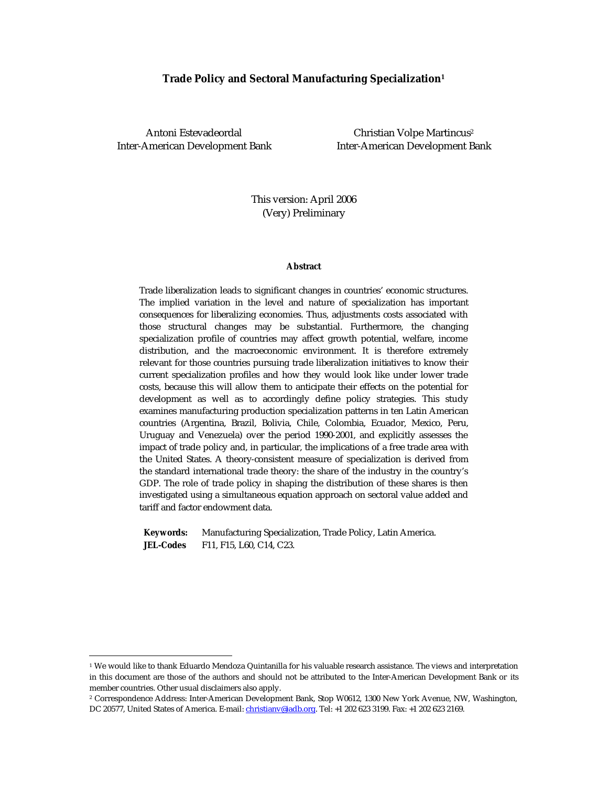#### **Trade Policy and Sectoral Manufacturing Specialization<sup>1</sup>**

 $\overline{a}$ 

Antoni Estevadeordal and Christian Volpe Martincus<sup>2</sup> Inter-American Development Bank Inter-American Development Bank

> This version: April 2006 (Very) Preliminary

#### **Abstract**

Trade liberalization leads to significant changes in countries' economic structures. The implied variation in the level and nature of specialization has important consequences for liberalizing economies. Thus, adjustments costs associated with those structural changes may be substantial. Furthermore, the changing specialization profile of countries may affect growth potential, welfare, income distribution, and the macroeconomic environment. It is therefore extremely relevant for those countries pursuing trade liberalization initiatives to know their current specialization profiles and how they would look like under lower trade costs, because this will allow them to anticipate their effects on the potential for development as well as to accordingly define policy strategies. This study examines manufacturing production specialization patterns in ten Latin American countries (Argentina, Brazil, Bolivia, Chile, Colombia, Ecuador, Mexico, Peru, Uruguay and Venezuela) over the period 1990-2001, and explicitly assesses the impact of trade policy and, in particular, the implications of a free trade area with the United States. A theory-consistent measure of specialization is derived from the standard international trade theory: the share of the industry in the country's GDP. The role of trade policy in shaping the distribution of these shares is then investigated using a simultaneous equation approach on sectoral value added and tariff and factor endowment data.

**Keywords:** Manufacturing Specialization, Trade Policy, Latin America. **JEL-Codes** F11, F15, L60, C14, C23.

<sup>1</sup> We would like to thank Eduardo Mendoza Quintanilla for his valuable research assistance. The views and interpretation in this document are those of the authors and should not be attributed to the Inter-American Development Bank or its member countries. Other usual disclaimers also apply.

<sup>2</sup> Correspondence Address: Inter-American Development Bank, Stop W0612, 1300 New York Avenue, NW, Washington, DC 20577, United States of America. E-mail: christianv@iadb.org. Tel: +1 202 623 3199. Fax: +1 202 623 2169.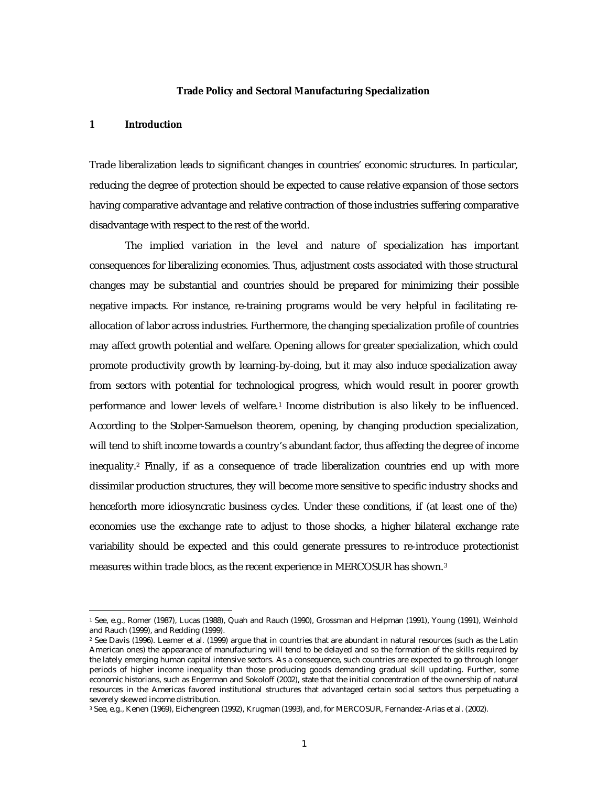#### **Trade Policy and Sectoral Manufacturing Specialization**

#### **1 Introduction**

 $\overline{a}$ 

Trade liberalization leads to significant changes in countries' economic structures. In particular, reducing the degree of protection should be expected to cause relative expansion of those sectors having comparative advantage and relative contraction of those industries suffering comparative disadvantage with respect to the rest of the world.

The implied variation in the level and nature of specialization has important consequences for liberalizing economies. Thus, adjustment costs associated with those structural changes may be substantial and countries should be prepared for minimizing their possible negative impacts. For instance, re-training programs would be very helpful in facilitating reallocation of labor across industries. Furthermore, the changing specialization profile of countries may affect growth potential and welfare. Opening allows for greater specialization, which could promote productivity growth by learning-by-doing, but it may also induce specialization away from sectors with potential for technological progress, which would result in poorer growth performance and lower levels of welfare.<sup>1</sup> Income distribution is also likely to be influenced. According to the Stolper-Samuelson theorem, opening, by changing production specialization, will tend to shift income towards a country's abundant factor, thus affecting the degree of income inequality.<sup>2</sup> Finally, if as a consequence of trade liberalization countries end up with more dissimilar production structures, they will become more sensitive to specific industry shocks and henceforth more idiosyncratic business cycles. Under these conditions, if (at least one of the) economies use the exchange rate to adjust to those shocks, a higher bilateral exchange rate variability should be expected and this could generate pressures to re-introduce protectionist measures within trade blocs, as the recent experience in MERCOSUR has shown.<sup>3</sup>

<sup>1</sup> See, e.g., Romer (1987), Lucas (1988), Quah and Rauch (1990), Grossman and Helpman (1991), Young (1991), Weinhold and Rauch (1999), and Redding (1999).

<sup>2</sup> See Davis (1996). Leamer et al. (1999) argue that in countries that are abundant in natural resources (such as the Latin American ones) the appearance of manufacturing will tend to be delayed and so the formation of the skills required by the lately emerging human capital intensive sectors. As a consequence, such countries are expected to go through longer periods of higher income inequality than those producing goods demanding gradual skill updating. Further, some economic historians, such as Engerman and Sokoloff (2002), state that the initial concentration of the ownership of natural resources in the Americas favored institutional structures that advantaged certain social sectors thus perpetuating a severely skewed income distribution.

<sup>3</sup> See, e.g., Kenen (1969), Eichengreen (1992), Krugman (1993), and, for MERCOSUR, Fernandez-Arias et al. (2002).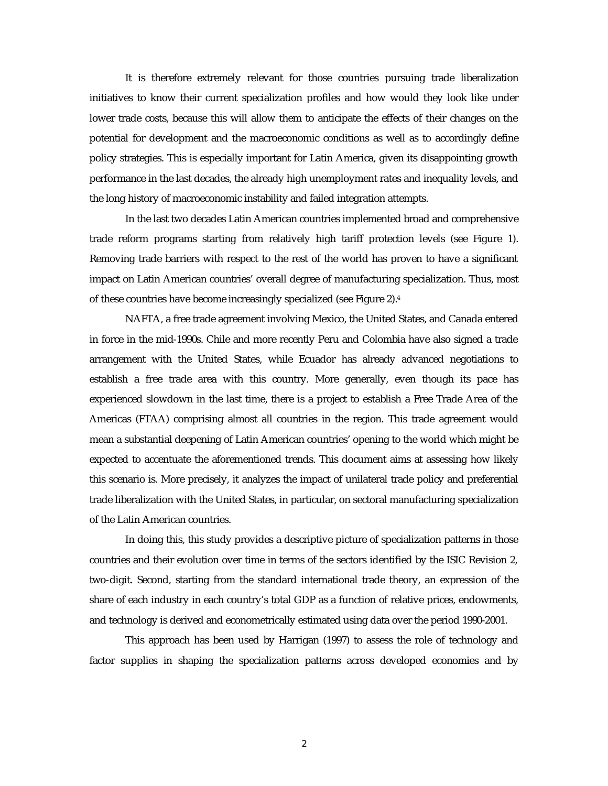It is therefore extremely relevant for those countries pursuing trade liberalization initiatives to know their current specialization profiles and how would they look like under lower trade costs, because this will allow them to anticipate the effects of their changes on the potential for development and the macroeconomic conditions as well as to accordingly define policy strategies. This is especially important for Latin America, given its disappointing growth performance in the last decades, the already high unemployment rates and inequality levels, and the long history of macroeconomic instability and failed integration attempts.

In the last two decades Latin American countries implemented broad and comprehensive trade reform programs starting from relatively high tariff protection levels (see Figure 1). Removing trade barriers with respect to the rest of the world has proven to have a significant impact on Latin American countries' overall degree of manufacturing specialization. Thus, most of these countries have become increasingly specialized (see Figure 2).<sup>4</sup>

NAFTA, a free trade agreement involving Mexico, the United States, and Canada entered in force in the mid-1990s. Chile and more recently Peru and Colombia have also signed a trade arrangement with the United States, while Ecuador has already advanced negotiations to establish a free trade area with this country. More generally, even though its pace has experienced slowdown in the last time, there is a project to establish a Free Trade Area of the Americas (FTAA) comprising almost all countries in the region. This trade agreement would mean a substantial deepening of Latin American countries' opening to the world which might be expected to accentuate the aforementioned trends. This document aims at assessing how likely this scenario is. More precisely, it analyzes the impact of unilateral trade policy and preferential trade liberalization with the United States, in particular, on sectoral manufacturing specialization of the Latin American countries.

In doing this, this study provides a descriptive picture of specialization patterns in those countries and their evolution over time in terms of the sectors identified by the ISIC Revision 2, two-digit. Second, starting from the standard international trade theory, an expression of the share of each industry in each country's total GDP as a function of relative prices, endowments, and technology is derived and econometrically estimated using data over the period 1990-2001.

This approach has been used by Harrigan (1997) to assess the role of technology and factor supplies in shaping the specialization patterns across developed economies and by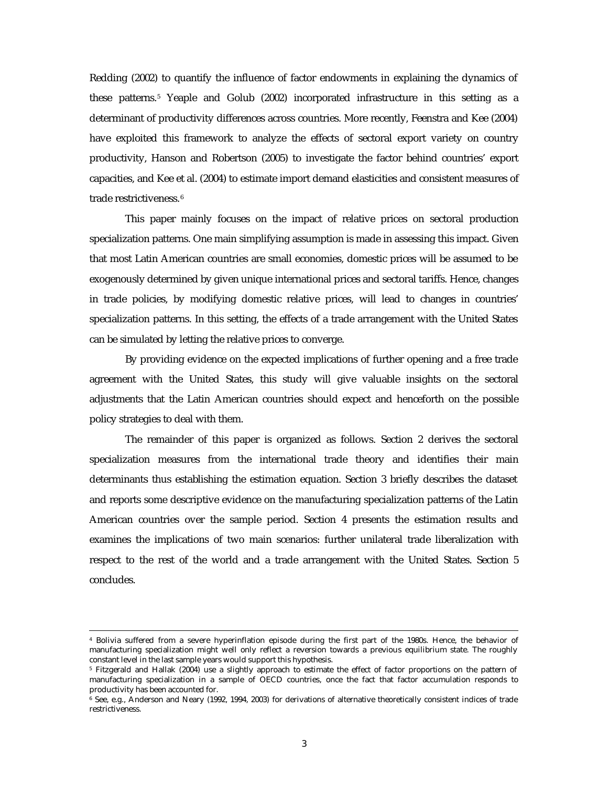Redding (2002) to quantify the influence of factor endowments in explaining the dynamics of these patterns.<sup>5</sup> Yeaple and Golub (2002) incorporated infrastructure in this setting as a determinant of productivity differences across countries. More recently, Feenstra and Kee (2004) have exploited this framework to analyze the effects of sectoral export variety on country productivity, Hanson and Robertson (2005) to investigate the factor behind countries' export capacities, and Kee et al. (2004) to estimate import demand elasticities and consistent measures of trade restrictiveness.<sup>6</sup>

This paper mainly focuses on the impact of relative prices on sectoral production specialization patterns. One main simplifying assumption is made in assessing this impact. Given that most Latin American countries are small economies, domestic prices will be assumed to be exogenously determined by given unique international prices and sectoral tariffs. Hence, changes in trade policies, by modifying domestic relative prices, will lead to changes in countries' specialization patterns. In this setting, the effects of a trade arrangement with the United States can be simulated by letting the relative prices to converge.

By providing evidence on the expected implications of further opening and a free trade agreement with the United States, this study will give valuable insights on the sectoral adjustments that the Latin American countries should expect and henceforth on the possible policy strategies to deal with them.

The remainder of this paper is organized as follows. Section 2 derives the sectoral specialization measures from the international trade theory and identifies their main determinants thus establishing the estimation equation. Section 3 briefly describes the dataset and reports some descriptive evidence on the manufacturing specialization patterns of the Latin American countries over the sample period. Section 4 presents the estimation results and examines the implications of two main scenarios: further unilateral trade liberalization with respect to the rest of the world and a trade arrangement with the United States. Section 5 concludes.

<sup>4</sup> Bolivia suffered from a severe hyperinflation episode during the first part of the 1980s. Hence, the behavior of manufacturing specialization might well only reflect a reversion towards a previous equilibrium state. The roughly constant level in the last sample years would support this hypothesis.

<sup>5</sup> Fitzgerald and Hallak (2004) use a slightly approach to estimate the effect of factor proportions on the pattern of manufacturing specialization in a sample of OECD countries, once the fact that factor accumulation responds to productivity has been accounted for.

<sup>6</sup> See, e.g., Anderson and Neary (1992, 1994, 2003) for derivations of alternative theoretically consistent indices of trade restrictiveness.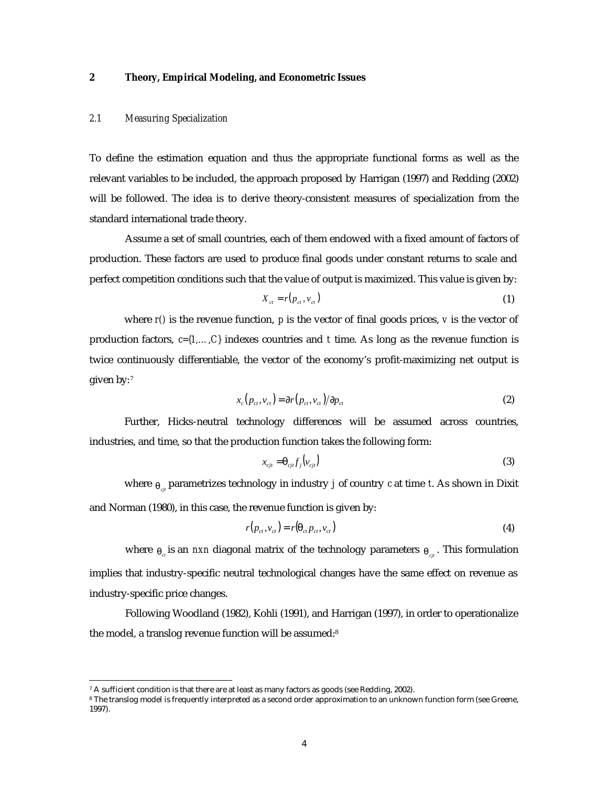## **2 Theory, Empirical Modeling, and Econometric Issues**

#### *2.1 Measuring Specialization*

To define the estimation equation and thus the appropriate functional forms as well as the relevant variables to be included, the approach proposed by Harrigan (1997) and Redding (2002) will be followed. The idea is to derive theory-consistent measures of specialization from the standard international trade theory.

Assume a set of small countries, each of them endowed with a fixed amount of factors of production. These factors are used to produce final goods under constant returns to scale and perfect competition conditions such that the value of output is maximized. This value is given by:

$$
X_{ct} = r(p_{ct}, v_{ct})
$$
 (1)

where *r()* is the revenue function, *p* is the vector of final goods prices, *v* is the vector of production factors, *c={1,…,C}* indexes countries and *t* time. As long as the revenue function is twice continuously differentiable, the vector of the economy's profit-maximizing net output is given by:<sup>7</sup>

$$
x_c(p_{ct}, v_{ct}) = \partial r(p_{ct}, v_{ct})/\partial p_{ct}
$$
 (2)

Further, Hicks-neutral technology differences will be assumed across countries, industries, and time, so that the production function takes the following form:

$$
x_{cjt} = \mathbf{q}_{cj} f_j \left( v_{cjt} \right) \tag{3}
$$

where  $q_{\textit{c}\textit{y}}$  parametrizes technology in industry *j* of country *c* at time *t*. As shown in Dixit and Norman (1980), in this case, the revenue function is given by:

$$
r(p_{ct}, v_{ct}) = r(\boldsymbol{q}_{ct} p_{ct}, v_{ct})
$$
\n<sup>(4)</sup>

where  $q_{\sigma}$  is an *nxn* diagonal matrix of the technology parameters  $q_{\sigma i}$ . This formulation implies that industry-specific neutral technological changes have the same effect on revenue as industry-specific price changes.

Following Woodland (1982), Kohli (1991), and Harrigan (1997), in order to operationalize the model, a translog revenue function will be assumed:<sup>8</sup>

 7 A sufficient condition is that there are at least as many factors as goods (see Redding, 2002).

<sup>8</sup> The translog model is frequently interpreted as a second order approximation to an unknown function form (see Greene, 1997).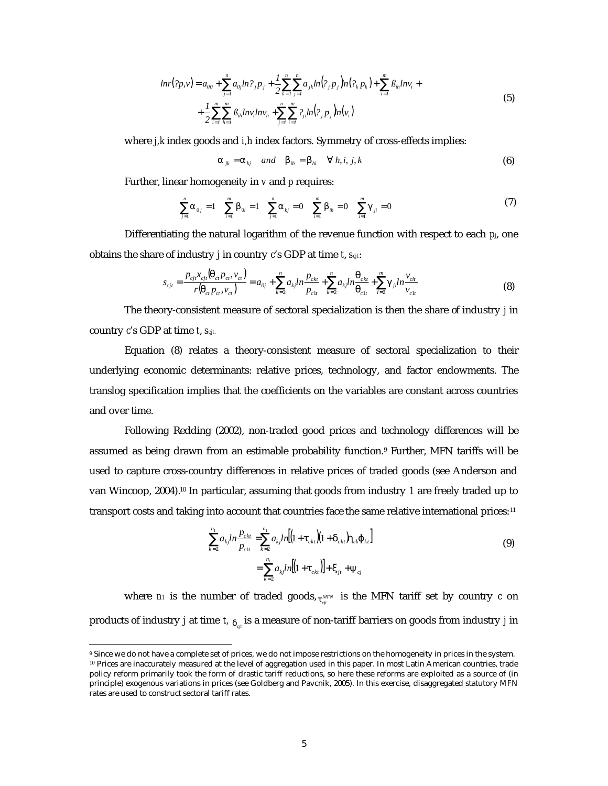$$
lnr(2p, v) = a_{00} + \sum_{j=1}^{n} a_{0j} ln 2_{j} p_{j} + \frac{1}{2} \sum_{k=1}^{n} \sum_{j=1}^{n} a_{jk} ln(2_{j} p_{j}) n(2_{k} p_{k}) + \sum_{i=1}^{m} \beta_{ih} ln v_{i} + + \frac{1}{2} \sum_{i=1}^{m} \sum_{h=1}^{m} \beta_{ih} ln v_{i} ln v_{h} + \sum_{j=1}^{n} \sum_{i=1}^{m} 2_{jl} ln(2_{j} p_{j}) n(v_{i})
$$
\n(5)

where *j,k* index goods and *i,h* index factors. Symmetry of cross-effects implies:

$$
\mathbf{a}_{jk} = \mathbf{a}_{kj} \quad \text{and} \quad \mathbf{b}_{ih} = \mathbf{b}_{hi} \quad \forall \ h, i, j, k \tag{6}
$$

Further, linear homogeneity in *v* and *p* requires:

$$
\sum_{j=1}^{n} a_{0j} = 1 \quad \sum_{i=1}^{m} b_{0i} = 1 \quad \sum_{j=1}^{n} a_{kj} = 0 \quad \sum_{i=1}^{m} b_{ih} = 0 \quad \sum_{i=1}^{m} g_{ji} = 0 \tag{7}
$$

Differentiating the natural logarithm of the revenue function with respect to each *pj*, one obtains the share of industry *j* in country *c*'s GDP at time *t*, *scjt*:

$$
s_{cjt} = \frac{p_{cj}x_{cj}(\mathbf{q}_{ct}p_{ct}, v_{ct})}{r(\mathbf{q}_{ct}p_{ct}, v_{ct})} = a_{0j} + \sum_{k=2}^{n} a_{kj}ln\frac{p_{ckt}}{p_{clt}} + \sum_{k=2}^{n} a_{kj}ln\frac{\mathbf{q}_{ckt}}{\mathbf{q}_{clt}} + \sum_{i=2}^{m} \mathbf{g}_{ji}ln\frac{v_{ci}}{v_{clt}}
$$
(8)

The theory-consistent measure of sectoral specialization is then the share of industry *j* in country *c*'s GDP at time *t*, *scjt.* 

Equation (8) relates a theory-consistent measure of sectoral specialization to their underlying economic determinants: relative prices, technology, and factor endowments. The translog specification implies that the coefficients on the variables are constant across countries and over time.

Following Redding (2002), non-traded good prices and technology differences will be assumed as being drawn from an estimable probability function.<sup>9</sup> Further, MFN tariffs will be used to capture cross-country differences in relative prices of traded goods (see Anderson and van Wincoop, 2004).10 In particular, assuming that goods from industry *1* are freely traded up to transport costs and taking into account that countries face the same relative international prices:<sup>11</sup>

$$
\sum_{k=2}^{n_1} a_{kj} ln \frac{p_{ck}}{p_{cl}} = \sum_{k=2}^{n_1} a_{kj} ln [(1 + \boldsymbol{t}_{ck}) (1 + \boldsymbol{d}_{ck}) \boldsymbol{h}_{ck} \boldsymbol{j}_{kt}]
$$
\n
$$
= \sum_{k=2}^{n_1} a_{kj} ln [(1 + \boldsymbol{t}_{ck})] + \boldsymbol{x}_{jt} + \boldsymbol{y}_{cj}
$$
\n(9)

where  $n_l$  is the number of traded goods,  $t_{\tiny{cir}}^{\tiny{MFN}}$  is the MFN tariff set by country  $c$  on products of industry *j* at time *t,*  $_{\boldsymbol{d}_{\textit{gt}}}$  is a measure of non-tariff barriers on goods from industry *j* in

<sup>9</sup> Since we do not have a complete set of prices, we do not impose restrictions on the homogeneity in prices in the system. <sup>10</sup> Prices are inaccurately measured at the level of aggregation used in this paper. In most Latin American countries, trade policy reform primarily took the form of drastic tariff reductions, so here these reforms are exploited as a source of (in principle) exogenous variations in prices (see Goldberg and Pavcnik, 2005). In this exercise, disaggregated statutory MFN rates are used to construct sectoral tariff rates.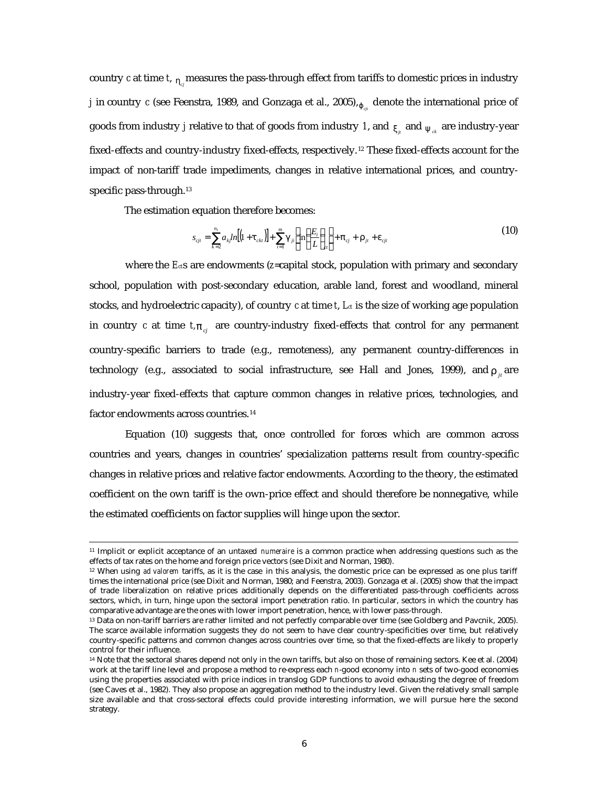country *c* at time *t*,  $_{\bm{h}_c}$  measures the pass-through effect from tariffs to domestic prices in industry *j* in country *c* (see Feenstra, 1989, and Gonzaga et al., 2005),  $\jmath_{\sigma^{\mu}}$  denote the international price of goods from industry  $j$  relative to that of goods from industry  $\,$   $l$ , and  $_{\boldsymbol{X}_{{}_{\mu}}}$  and  $_{\boldsymbol{y}}_{_{ck}}$  are industry-year fixed-effects and country-industry fixed-effects, respectively.12 These fixed-effects account for the impact of non-tariff trade impediments, changes in relative international prices, and countryspecific pass-through.<sup>13</sup>

The estimation equation therefore becomes:

 $\overline{a}$ 

$$
s_{\rm ci} = \sum_{k=2}^{n_{\rm t}} a_{k} ln[(1 + \mathbf{t}_{\rm ckt})] + \sum_{i=1}^{m} \mathbf{g}_{ji} \left[ ln\left(\frac{E_i}{L}\right)_{\rm cr}\right] + \mathbf{p}_{\rm ci} + \mathbf{r}_{ji} + \mathbf{e}_{\rm ci} \tag{10}
$$

where the *E*<sub>*c*s</sub> are endowments (*z*=capital stock, population with primary and secondary school, population with post-secondary education, arable land, forest and woodland, mineral stocks, and hydroelectric capacity), of country  $c$  at time  $t$ ,  $L_d$  is the size of working age population in country *c* at time  $t$ ,  $p_{ci}$  are country-industry fixed-effects that control for any permanent country-specific barriers to trade (e.g., remoteness), any permanent country-differences in technology (e.g., associated to social infrastructure, see Hall and Jones, 1999), and  $r_{i}$  are industry-year fixed-effects that capture common changes in relative prices, technologies, and factor endowments across countries.<sup>14</sup>

Equation (10) suggests that, once controlled for forces which are common across countries and years, changes in countries' specialization patterns result from country-specific changes in relative prices and relative factor endowments. According to the theory, the estimated coefficient on the own tariff is the own-price effect and should therefore be nonnegative, while the estimated coefficients on factor supplies will hinge upon the sector.

<sup>11</sup> Implicit or explicit acceptance of an untaxed *numeraire* is a common practice when addressing questions such as the effects of tax rates on the home and foreign price vectors (see Dixit and Norman, 1980).

<sup>12</sup> When using *ad valorem* tariffs, as it is the case in this analysis, the domestic price can be expressed as one plus tariff times the international price (see Dixit and Norman, 1980; and Feenstra, 2003). Gonzaga et al. (2005) show that the impact of trade liberalization on relative prices additionally depends on the differentiated pass-through coefficients across sectors, which, in turn, hinge upon the sectoral import penetration ratio. In particular, sectors in which the country has comparative advantage are the ones with lower import penetration, hence, with lower pass-through.

<sup>13</sup> Data on non-tariff barriers are rather limited and not perfectly comparable over time (see Goldberg and Pavcnik, 2005). The scarce available information suggests they do not seem to have clear country-specificities over time, but relatively country-specific patterns and common changes across countries over time, so that the fixed-effects are likely to properly control for their influence.

<sup>14</sup> Note that the sectoral shares depend not only in the own tariffs, but also on those of remaining sectors. Kee et al. (2004) work at the tariff line level and propose a method to re-express each *n*-good economy into *n* sets of two-good economies using the properties associated with price indices in translog GDP functions to avoid exhausting the degree of freedom (see Caves et al., 1982). They also propose an aggregation method to the industry level. Given the relatively small sample size available and that cross-sectoral effects could provide interesting information, we will pursue here the second strategy.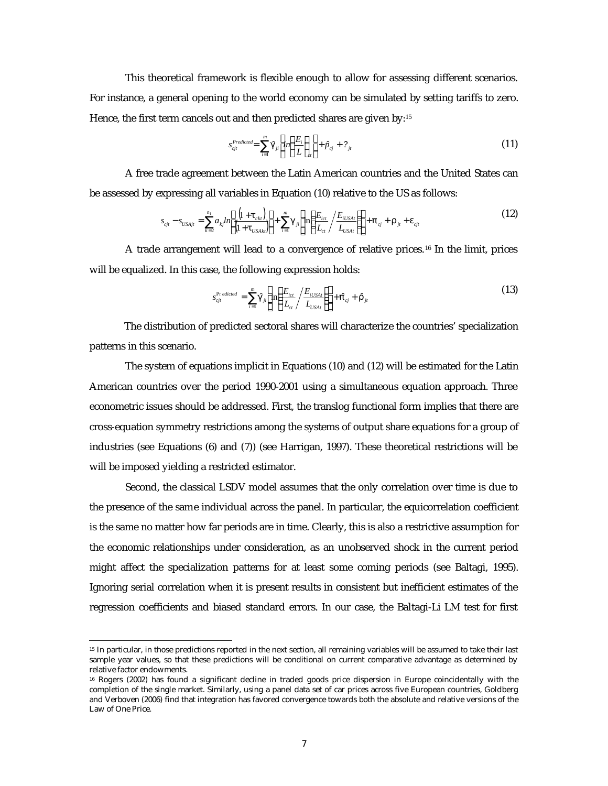This theoretical framework is flexible enough to allow for assessing different scenarios. For instance, a general opening to the world economy can be simulated by setting tariffs to zero. Hence, the first term cancels out and then predicted shares are given by:<sup>15</sup>

$$
s_{\text{cji}}^{\text{Predicted}} = \sum_{i=1}^{m} \hat{\mathbf{g}}_{ji} \left[ ln \left( \frac{E_i}{L} \right)_{\text{ct}} \right] + \hat{p}_{\text{cj}} + ?_{ji} \tag{11}
$$

A free trade agreement between the Latin American countries and the United States can be assessed by expressing all variables in Equation (10) relative to the US as follows:

$$
s_{c_{jl}} - s_{USA_{jl}} = \sum_{k=2}^{n_1} a_{kj} ln \left[ \frac{\left(1 + \mathbf{t}_{ck}\right)}{\left(1 + \mathbf{t}_{USA_{kl}}\right)} \right] + \sum_{i=1}^{m} \mathbf{g}_{ji} \left[ ln \left( \frac{E_{ict}}{L_{ct}} / \frac{E_{iUSA_{t}}}{L_{USA_{t}}} \right) \right] + \mathbf{p}_{cj} + \mathbf{r}_{ji} + \mathbf{e}_{cj} \tag{12}
$$

A trade arrangement will lead to a convergence of relative prices.16 In the limit, prices will be equalized. In this case, the following expression holds:

$$
s_{cji}^{\text{Pr edited}} = \sum_{i=1}^{m} \hat{\boldsymbol{\mathcal{B}}}_{ji} \left[ \ln \left( \frac{E_{ict}}{L_{ct}} / \frac{E_{iUSAt}}{L_{USAt}} \right) \right] + \hat{\boldsymbol{p}}_{cj} + \hat{\boldsymbol{r}}_{jt}
$$
(13)

The distribution of predicted sectoral shares will characterize the countries' specialization patterns in this scenario.

The system of equations implicit in Equations (10) and (12) will be estimated for the Latin American countries over the period 1990-2001 using a simultaneous equation approach. Three econometric issues should be addressed. First, the translog functional form implies that there are cross-equation symmetry restrictions among the systems of output share equations for a group of industries (see Equations (6) and (7)) (see Harrigan, 1997). These theoretical restrictions will be will be imposed yielding a restricted estimator.

Second, the classical LSDV model assumes that the only correlation over time is due to the presence of the same individual across the panel. In particular, the equicorrelation coefficient is the same no matter how far periods are in time. Clearly, this is also a restrictive assumption for the economic relationships under consideration, as an unobserved shock in the current period might affect the specialization patterns for at least some coming periods (see Baltagi, 1995). Ignoring serial correlation when it is present results in consistent but inefficient estimates of the regression coefficients and biased standard errors. In our case, the Baltagi-Li LM test for first

<sup>15</sup> In particular, in those predictions reported in the next section, all remaining variables will be assumed to take their last sample year values, so that these predictions will be conditional on current comparative advantage as determined by relative factor endowments.

<sup>16</sup> Rogers (2002) has found a significant decline in traded goods price dispersion in Europe coincidentally with the completion of the single market. Similarly, using a panel data set of car prices across five European countries, Goldberg and Verboven (2006) find that integration has favored convergence towards both the absolute and relative versions of the Law of One Price.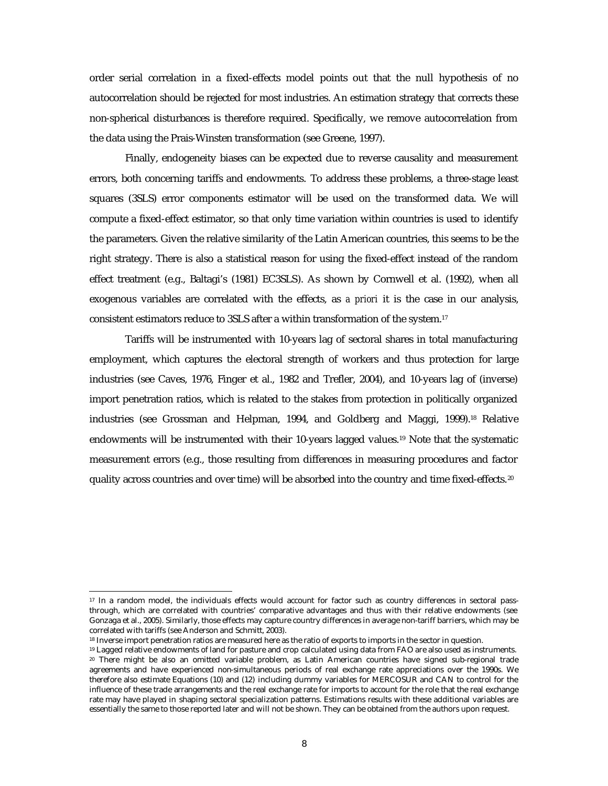order serial correlation in a fixed-effects model points out that the null hypothesis of no autocorrelation should be rejected for most industries. An estimation strategy that corrects these non-spherical disturbances is therefore required. Specifically, we remove autocorrelation from the data using the Prais-Winsten transformation (see Greene, 1997).

Finally, endogeneity biases can be expected due to reverse causality and measurement errors, both concerning tariffs and endowments. To address these problems, a three-stage least squares (3SLS) error components estimator will be used on the transformed data. We will compute a fixed-effect estimator, so that only time variation within countries is used to identify the parameters. Given the relative similarity of the Latin American countries, this seems to be the right strategy. There is also a statistical reason for using the fixed-effect instead of the random effect treatment (e.g., Baltagi's (1981) EC3SLS). As shown by Cornwell et al. (1992), when all exogenous variables are correlated with the effects, as *a priori* it is the case in our analysis, consistent estimators reduce to 3SLS after a within transformation of the system.<sup>17</sup>

Tariffs will be instrumented with 10-years lag of sectoral shares in total manufacturing employment, which captures the electoral strength of workers and thus protection for large industries (see Caves, 1976, Finger et al., 1982 and Trefler, 2004), and 10-years lag of (inverse) import penetration ratios, which is related to the stakes from protection in politically organized industries (see Grossman and Helpman, 1994, and Goldberg and Maggi, 1999).18 Relative endowments will be instrumented with their 10-years lagged values.19 Note that the systematic measurement errors (e.g., those resulting from differences in measuring procedures and factor quality across countries and over time) will be absorbed into the country and time fixed-effects.<sup>20</sup>

<sup>&</sup>lt;sup>17</sup> In a random model, the individuals effects would account for factor such as country differences in sectoral passthrough, which are correlated with countries' comparative advantages and thus with their relative endowments (see Gonzaga et al., 2005). Similarly, those effects may capture country differences in average non-tariff barriers, which may be correlated with tariffs (see Anderson and Schmitt, 2003).

<sup>18</sup> Inverse import penetration ratios are measured here as the ratio of exports to imports in the sector in question.

<sup>19</sup> Lagged relative endowments of land for pasture and crop calculated using data from FAO are also used as instruments. <sup>20</sup> There might be also an omitted variable problem, as Latin American countries have signed sub-regional trade agreements and have experienced non-simultaneous periods of real exchange rate appreciations over the 1990s. We therefore also estimate Equations (10) and (12) including dummy variables for MERCOSUR and CAN to control for the influence of these trade arrangements and the real exchange rate for imports to account for the role that the real exchange rate may have played in shaping sectoral specialization patterns. Estimations results with these additional variables are essentially the same to those reported later and will not be shown. They can be obtained from the authors upon request.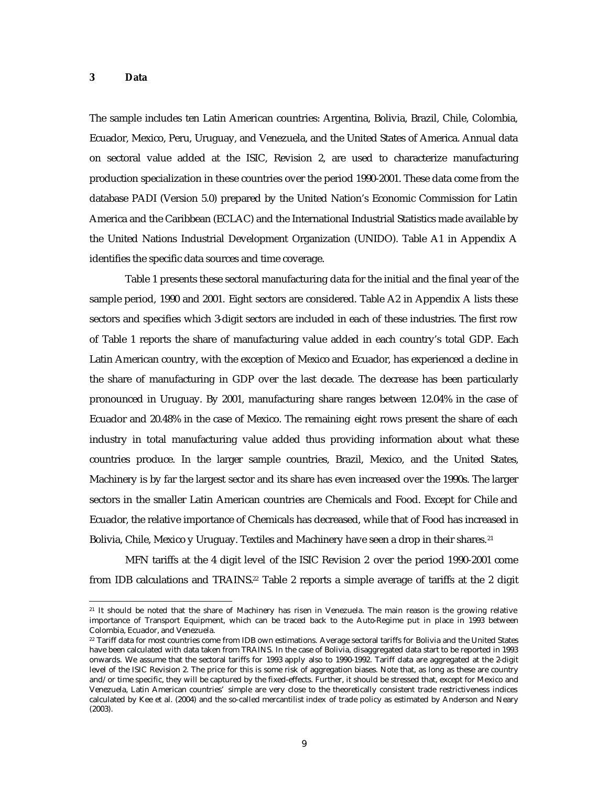#### **3 Data**

 $\overline{a}$ 

The sample includes ten Latin American countries: Argentina, Bolivia, Brazil, Chile, Colombia, Ecuador, Mexico, Peru, Uruguay, and Venezuela, and the United States of America. Annual data on sectoral value added at the ISIC, Revision 2, are used to characterize manufacturing production specialization in these countries over the period 1990-2001. These data come from the database PADI (Version 5.0) prepared by the United Nation's Economic Commission for Latin America and the Caribbean (ECLAC) and the International Industrial Statistics made available by the United Nations Industrial Development Organization (UNIDO). Table A1 in Appendix A identifies the specific data sources and time coverage.

Table 1 presents these sectoral manufacturing data for the initial and the final year of the sample period, 1990 and 2001. Eight sectors are considered. Table A2 in Appendix A lists these sectors and specifies which 3-digit sectors are included in each of these industries. The first row of Table 1 reports the share of manufacturing value added in each country's total GDP. Each Latin American country, with the exception of Mexico and Ecuador, has experienced a decline in the share of manufacturing in GDP over the last decade. The decrease has been particularly pronounced in Uruguay. By 2001, manufacturing share ranges between 12.04% in the case of Ecuador and 20.48% in the case of Mexico. The remaining eight rows present the share of each industry in total manufacturing value added thus providing information about what these countries produce. In the larger sample countries, Brazil, Mexico, and the United States, Machinery is by far the largest sector and its share has even increased over the 1990s. The larger sectors in the smaller Latin American countries are Chemicals and Food. Except for Chile and Ecuador, the relative importance of Chemicals has decreased, while that of Food has increased in Bolivia, Chile, Mexico y Uruguay. Textiles and Machinery have seen a drop in their shares.<sup>21</sup>

MFN tariffs at the 4 digit level of the ISIC Revision 2 over the period 1990-2001 come from IDB calculations and TRAINS.22 Table 2 reports a simple average of tariffs at the 2 digit

<sup>21</sup> It should be noted that the share of Machinery has risen in Venezuela. The main reason is the growing relative importance of Transport Equipment, which can be traced back to the Auto-Regime put in place in 1993 between Colombia, Ecuador, and Venezuela.

<sup>22</sup> Tariff data for most countries come from IDB own estimations. Average sectoral tariffs for Bolivia and the United States have been calculated with data taken from TRAINS. In the case of Bolivia, disaggregated data start to be reported in 1993 onwards. We assume that the sectoral tariffs for 1993 apply also to 1990-1992. Tariff data are aggregated at the 2-digit level of the ISIC Revision 2. The price for this is some risk of aggregation biases. Note that, as long as these are country and/or time specific, they will be captured by the fixed-effects. Further, it should be stressed that, except for Mexico and Venezuela, Latin American countries' simple are very close to the theoretically consistent trade restrictiveness indices calculated by Kee et al. (2004) and the so-called mercantilist index of trade policy as estimated by Anderson and Neary (2003).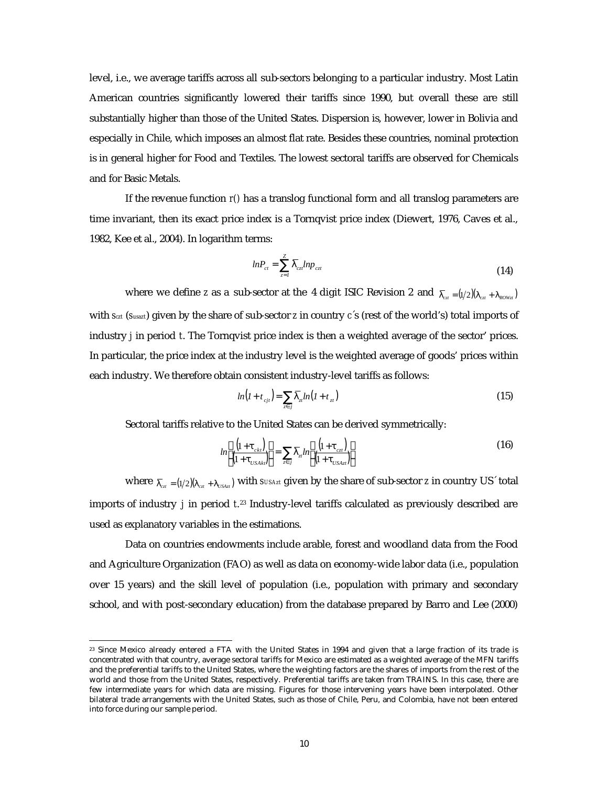level, i.e., we average tariffs across all sub-sectors belonging to a particular industry. Most Latin American countries significantly lowered their tariffs since 1990, but overall these are still substantially higher than those of the United States. Dispersion is, however, lower in Bolivia and especially in Chile, which imposes an almost flat rate. Besides these countries, nominal protection is in general higher for Food and Textiles. The lowest sectoral tariffs are observed for Chemicals and for Basic Metals.

If the revenue function *r()* has a translog functional form and all translog parameters are time invariant, then its exact price index is a Tornqvist price index (Diewert, 1976, Caves et al., 1982, Kee et al., 2004). In logarithm terms:

$$
ln P_{ct} = \sum_{z=1}^{Z} \overline{I}_{cz} ln p_{czt}
$$
\n(14)

where we define *z* as a sub-sector at the 4 digit ISIC Revision 2 and  $\overline{I}_{cx} = (1/2)(I_{cx} + I_{Rowx})$ with *sczt* (*susazt*) given by the share of sub-sector *z* in country *c*´s (rest of the world's) total imports of industry *j* in period *t*. The Tornqvist price index is then a weighted average of the sector' prices. In particular, the price index at the industry level is the weighted average of goods' prices within each industry. We therefore obtain consistent industry-level tariffs as follows:

$$
ln(I + t_{ci}) = \sum_{z \in j} \overline{I}_x ln(I + t_x)
$$
\n(15)

Sectoral tariffs relative to the United States can be derived symmetrically:

$$
ln\left[\frac{\left(1+\boldsymbol{t}_{ckt}\right)}{\left(1+\boldsymbol{t}_{USAk}^{}\right)}\right] = \sum_{z \in j} \overline{I}_{zt} ln\left[\frac{\left(1+\boldsymbol{t}_{czt}\right)}{\left(1+\boldsymbol{t}_{USAzt}\right)}\right]
$$
(16)

where  $\overline{I}_{ct} = (1/2) (I_{ct} + I_{USA}$  with *susAzt* given by the share of sub-sector *z* in country US<sup> $\cdot$ </sup> total imports of industry *j* in period *t*. <sup>23</sup> Industry-level tariffs calculated as previously described are used as explanatory variables in the estimations.

Data on countries endowments include arable, forest and woodland data from the Food and Agriculture Organization (FAO) as well as data on economy-wide labor data (i.e., population over 15 years) and the skill level of population (i.e., population with primary and secondary school, and with post-secondary education) from the database prepared by Barro and Lee (2000)

<sup>23</sup> Since Mexico already entered a FTA with the United States in 1994 and given that a large fraction of its trade is concentrated with that country, average sectoral tariffs for Mexico are estimated as a weighted average of the MFN tariffs and the preferential tariffs to the United States, where the weighting factors are the shares of imports from the rest of the world and those from the United States, respectively. Preferential tariffs are taken from TRAINS. In this case, there are few intermediate years for which data are missing. Figures for those intervening years have been interpolated. Other bilateral trade arrangements with the United States, such as those of Chile, Peru, and Colombia, have not been entered into force during our sample period.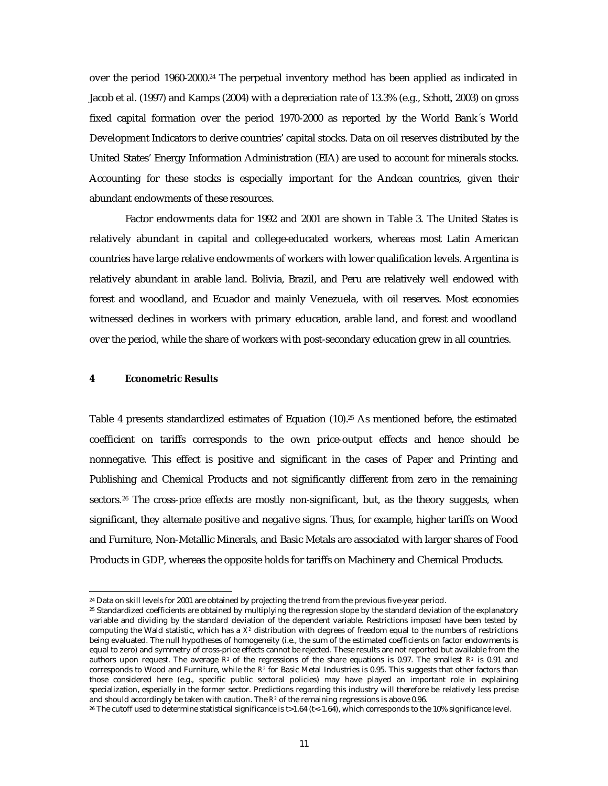over the period 1960-2000.24 The perpetual inventory method has been applied as indicated in Jacob et al. (1997) and Kamps (2004) with a depreciation rate of 13.3% (e.g., Schott, 2003) on gross fixed capital formation over the period 1970-2000 as reported by the World Bank´s World Development Indicators to derive countries' capital stocks. Data on oil reserves distributed by the United States' Energy Information Administration (EIA) are used to account for minerals stocks. Accounting for these stocks is especially important for the Andean countries, given their abundant endowments of these resources.

Factor endowments data for 1992 and 2001 are shown in Table 3. The United States is relatively abundant in capital and college-educated workers, whereas most Latin American countries have large relative endowments of workers with lower qualification levels. Argentina is relatively abundant in arable land. Bolivia, Brazil, and Peru are relatively well endowed with forest and woodland, and Ecuador and mainly Venezuela, with oil reserves. Most economies witnessed declines in workers with primary education, arable land, and forest and woodland over the period, while the share of workers with post-secondary education grew in all countries.

## **4 Econometric Results**

 $\overline{a}$ 

Table 4 presents standardized estimates of Equation  $(10)^{25}$  As mentioned before, the estimated coefficient on tariffs corresponds to the own price-output effects and hence should be nonnegative. This effect is positive and significant in the cases of Paper and Printing and Publishing and Chemical Products and not significantly different from zero in the remaining sectors.<sup>26</sup> The cross-price effects are mostly non-significant, but, as the theory suggests, when significant, they alternate positive and negative signs. Thus, for example, higher tariffs on Wood and Furniture, Non-Metallic Minerals, and Basic Metals are associated with larger shares of Food Products in GDP, whereas the opposite holds for tariffs on Machinery and Chemical Products.

<sup>24</sup> Data on skill levels for 2001 are obtained by projecting the trend from the previous five-year period.

<sup>25</sup> Standardized coefficients are obtained by multiplying the regression slope by the standard deviation of the explanatory variable and dividing by the standard deviation of the dependent variable. Restrictions imposed have been tested by computing the Wald statistic, which has a  $X^2$  distribution with degrees of freedom equal to the numbers of restrictions being evaluated. The null hypotheses of homogeneity (i.e., the sum of the estimated coefficients on factor endowments is equal to zero) and symmetry of cross-price effects cannot be rejected. These results are not reported but available from the authors upon request. The average  $R^2$  of the regressions of the share equations is 0.97. The smallest  $R^2$  is 0.91 and corresponds to Wood and Furniture, while the *R<sup>2</sup>* for Basic Metal Industries is 0.95. This suggests that other factors than those considered here (e.g., specific public sectoral policies) may have played an important role in explaining specialization, especially in the former sector. Predictions regarding this industry will therefore be relatively less precise and should accordingly be taken with caution. The  $R^{\rm z}$  of the remaining regressions is above 0.96.

<sup>&</sup>lt;sup>26</sup> The cutoff used to determine statistical significance is t>1.64 (t<-1.64), which corresponds to the 10% significance level.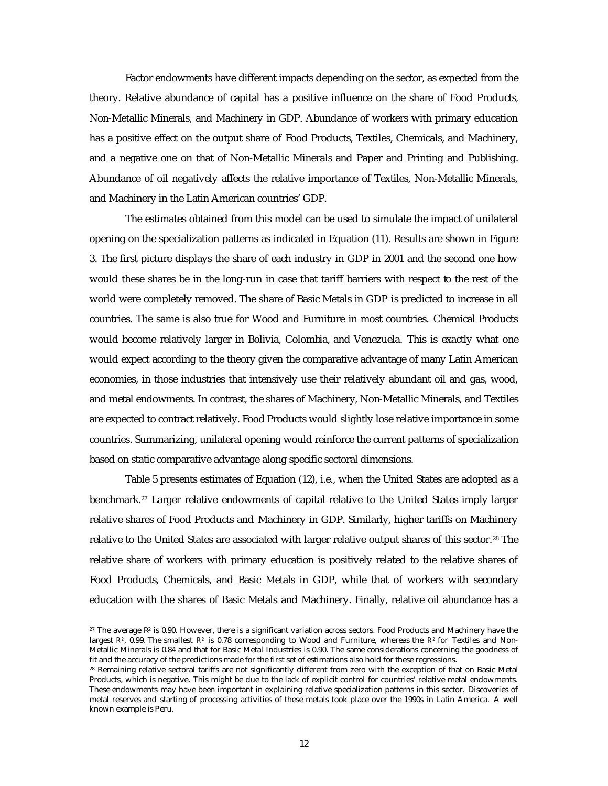Factor endowments have different impacts depending on the sector, as expected from the theory. Relative abundance of capital has a positive influence on the share of Food Products, Non-Metallic Minerals, and Machinery in GDP. Abundance of workers with primary education has a positive effect on the output share of Food Products, Textiles, Chemicals, and Machinery, and a negative one on that of Non-Metallic Minerals and Paper and Printing and Publishing. Abundance of oil negatively affects the relative importance of Textiles, Non-Metallic Minerals, and Machinery in the Latin American countries' GDP.

The estimates obtained from this model can be used to simulate the impact of unilateral opening on the specialization patterns as indicated in Equation (11). Results are shown in Figure 3. The first picture displays the share of each industry in GDP in 2001 and the second one how would these shares be in the long-run in case that tariff barriers with respect to the rest of the world were completely removed. The share of Basic Metals in GDP is predicted to increase in all countries. The same is also true for Wood and Furniture in most countries. Chemical Products would become relatively larger in Bolivia, Colombia, and Venezuela. This is exactly what one would expect according to the theory given the comparative advantage of many Latin American economies, in those industries that intensively use their relatively abundant oil and gas, wood, and metal endowments. In contrast, the shares of Machinery, Non-Metallic Minerals, and Textiles are expected to contract relatively. Food Products would slightly lose relative importance in some countries. Summarizing, unilateral opening would reinforce the current patterns of specialization based on static comparative advantage along specific sectoral dimensions.

Table 5 presents estimates of Equation (12), i.e., when the United States are adopted as a benchmark.27 Larger relative endowments of capital relative to the United States imply larger relative shares of Food Products and Machinery in GDP. Similarly, higher tariffs on Machinery relative to the United States are associated with larger relative output shares of this sector.<sup>28</sup> The relative share of workers with primary education is positively related to the relative shares of Food Products, Chemicals, and Basic Metals in GDP, while that of workers with secondary education with the shares of Basic Metals and Machinery. Finally, relative oil abundance has a

 $27$  The average  $\mathbb{R}^2$  is 0.90. However, there is a significant variation across sectors. Food Products and Machinery have the largest  $R^2$ , 0.99. The smallest  $R^2$  is 0.78 corresponding to Wood and Furniture, whereas the  $R^2$  for Textiles and Non-Metallic Minerals is 0.84 and that for Basic Metal Industries is 0.90. The same considerations concerning the goodness of fit and the accuracy of the predictions made for the first set of estimations also hold for these regressions.

<sup>28</sup> Remaining relative sectoral tariffs are not significantly different from zero with the exception of that on Basic Metal Products, which is negative. This might be due to the lack of explicit control for countries' relative metal endowments. These endowments may have been important in explaining relative specialization patterns in this sector. Discoveries of metal reserves and starting of processing activities of these metals took place over the 1990s in Latin America. A well known example is Peru.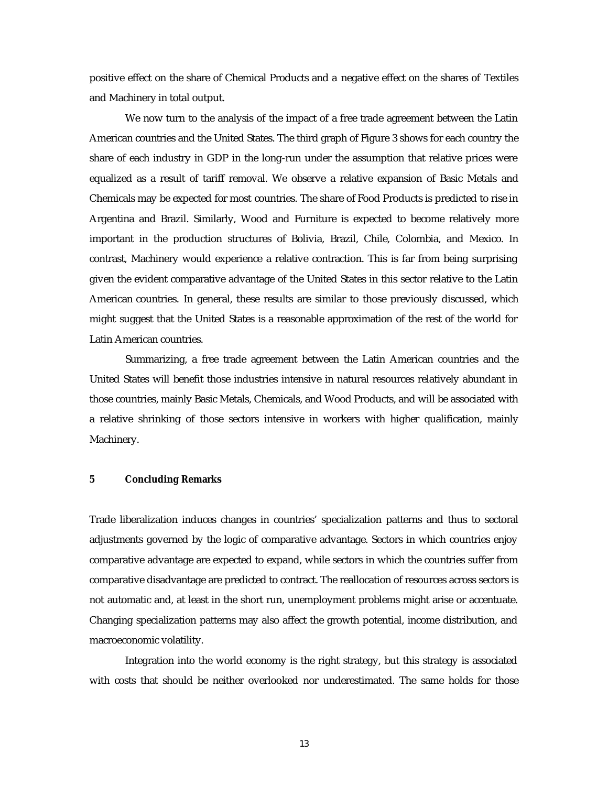positive effect on the share of Chemical Products and a negative effect on the shares of Textiles and Machinery in total output.

We now turn to the analysis of the impact of a free trade agreement between the Latin American countries and the United States. The third graph of Figure 3 shows for each country the share of each industry in GDP in the long-run under the assumption that relative prices were equalized as a result of tariff removal. We observe a relative expansion of Basic Metals and Chemicals may be expected for most countries. The share of Food Products is predicted to rise in Argentina and Brazil. Similarly, Wood and Furniture is expected to become relatively more important in the production structures of Bolivia, Brazil, Chile, Colombia, and Mexico. In contrast, Machinery would experience a relative contraction. This is far from being surprising given the evident comparative advantage of the United States in this sector relative to the Latin American countries. In general, these results are similar to those previously discussed, which might suggest that the United States is a reasonable approximation of the rest of the world for Latin American countries.

Summarizing, a free trade agreement between the Latin American countries and the United States will benefit those industries intensive in natural resources relatively abundant in those countries, mainly Basic Metals, Chemicals, and Wood Products, and will be associated with a relative shrinking of those sectors intensive in workers with higher qualification, mainly Machinery.

#### **5 Concluding Remarks**

Trade liberalization induces changes in countries' specialization patterns and thus to sectoral adjustments governed by the logic of comparative advantage. Sectors in which countries enjoy comparative advantage are expected to expand, while sectors in which the countries suffer from comparative disadvantage are predicted to contract. The reallocation of resources across sectors is not automatic and, at least in the short run, unemployment problems might arise or accentuate. Changing specialization patterns may also affect the growth potential, income distribution, and macroeconomic volatility.

Integration into the world economy is the right strategy, but this strategy is associated with costs that should be neither overlooked nor underestimated. The same holds for those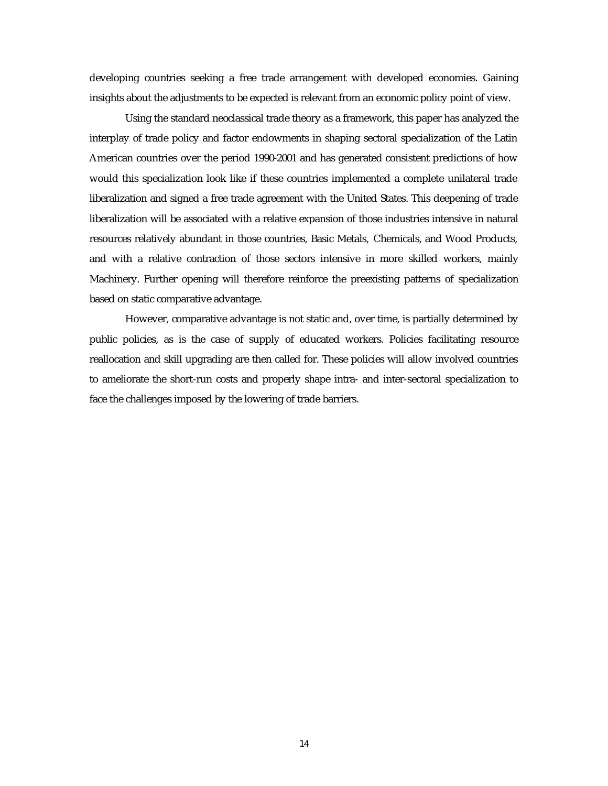developing countries seeking a free trade arrangement with developed economies. Gaining insights about the adjustments to be expected is relevant from an economic policy point of view.

Using the standard neoclassical trade theory as a framework, this paper has analyzed the interplay of trade policy and factor endowments in shaping sectoral specialization of the Latin American countries over the period 1990-2001 and has generated consistent predictions of how would this specialization look like if these countries implemented a complete unilateral trade liberalization and signed a free trade agreement with the United States. This deepening of trade liberalization will be associated with a relative expansion of those industries intensive in natural resources relatively abundant in those countries, Basic Metals, Chemicals, and Wood Products, and with a relative contraction of those sectors intensive in more skilled workers, mainly Machinery. Further opening will therefore reinforce the preexisting patterns of specialization based on static comparative advantage.

However, comparative advantage is not static and, over time, is partially determined by public policies, as is the case of supply of educated workers. Policies facilitating resource reallocation and skill upgrading are then called for. These policies will allow involved countries to ameliorate the short-run costs and properly shape intra- and inter-sectoral specialization to face the challenges imposed by the lowering of trade barriers.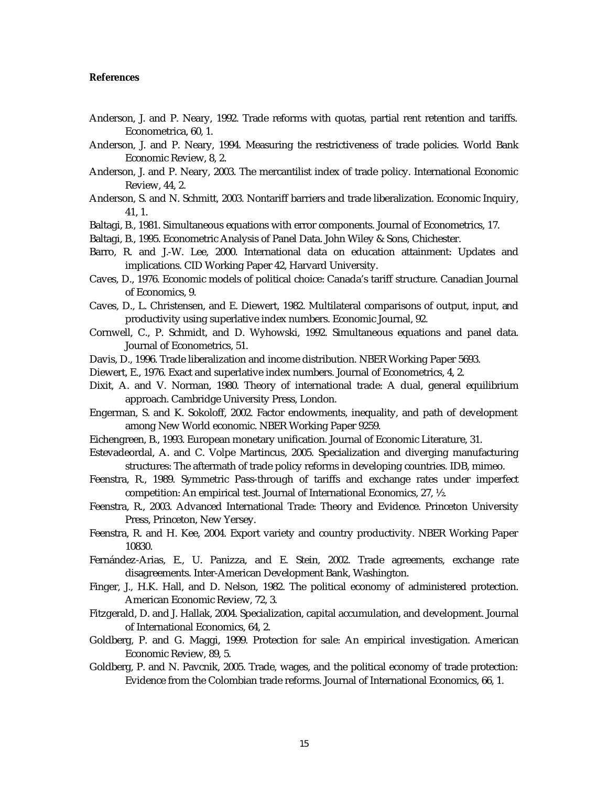#### **References**

- Anderson, J. and P. Neary, 1992. Trade reforms with quotas, partial rent retention and tariffs. Econometrica, 60, 1.
- Anderson, J. and P. Neary, 1994. Measuring the restrictiveness of trade policies. World Bank Economic Review, 8, 2.
- Anderson, J. and P. Neary, 2003. The mercantilist index of trade policy. International Economic Review, 44, 2.
- Anderson, S. and N. Schmitt, 2003. Nontariff barriers and trade liberalization. Economic Inquiry, 41, 1.
- Baltagi, B., 1981. Simultaneous equations with error components. Journal of Econometrics, 17.
- Baltagi, B., 1995. Econometric Analysis of Panel Data. John Wiley & Sons, Chichester.
- Barro, R. and J.-W. Lee, 2000. International data on education attainment: Updates and implications. CID Working Paper 42, Harvard University.
- Caves, D., 1976. Economic models of political choice: Canada's tariff structure. Canadian Journal of Economics, 9.
- Caves, D., L. Christensen, and E. Diewert, 1982. Multilateral comparisons of output, input, and productivity using superlative index numbers. Economic Journal, 92.
- Cornwell, C., P. Schmidt, and D. Wyhowski, 1992. Simultaneous equations and panel data. Journal of Econometrics, 51.
- Davis, D., 1996. Trade liberalization and income distribution. NBER Working Paper 5693.
- Diewert, E., 1976. Exact and superlative index numbers. Journal of Econometrics, 4, 2.
- Dixit, A. and V. Norman, 1980. Theory of international trade: A dual, general equilibrium approach. Cambridge University Press, London.
- Engerman, S. and K. Sokoloff, 2002. Factor endowments, inequality, and path of development among New World economic. NBER Working Paper 9259.
- Eichengreen, B., 1993. European monetary unification. Journal of Economic Literature, 31.
- Estevadeordal, A. and C. Volpe Martincus, 2005. Specialization and diverging manufacturing structures: The aftermath of trade policy reforms in developing countries. IDB, mimeo.
- Feenstra, R., 1989. Symmetric Pass-through of tariffs and exchange rates under imperfect competition: An empirical test. Journal of International Economics, 27, ½.
- Feenstra, R., 2003. Advanced International Trade: Theory and Evidence. Princeton University Press, Princeton, New Yersey.
- Feenstra, R. and H. Kee, 2004. Export variety and country productivity. NBER Working Paper 10830.
- Fernández-Arias, E., U. Panizza, and E. Stein, 2002. Trade agreements, exchange rate disagreements. Inter-American Development Bank, Washington.
- Finger, J., H.K. Hall, and D. Nelson, 1982. The political economy of administered protection. American Economic Review, 72, 3.
- Fitzgerald, D. and J. Hallak, 2004. Specialization, capital accumulation, and development. Journal of International Economics, 64, 2.
- Goldberg, P. and G. Maggi, 1999. Protection for sale: An empirical investigation. American Economic Review, 89, 5.
- Goldberg, P. and N. Pavcnik, 2005. Trade, wages, and the political economy of trade protection: Evidence from the Colombian trade reforms. Journal of International Economics, 66, 1.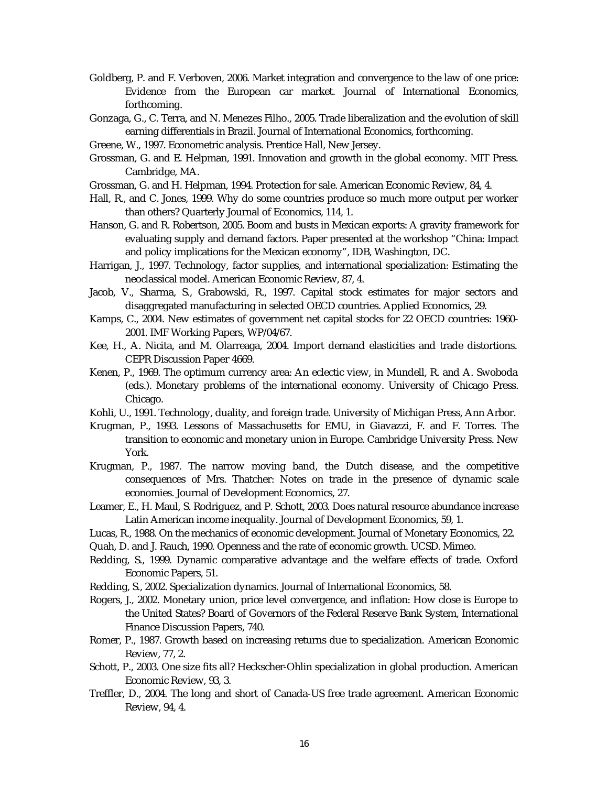- Goldberg, P. and F. Verboven, 2006. Market integration and convergence to the law of one price: Evidence from the European car market. Journal of International Economics, forthcoming.
- Gonzaga, G., C. Terra, and N. Menezes Filho., 2005. Trade liberalization and the evolution of skill earning differentials in Brazil. Journal of International Economics, forthcoming.
- Greene, W., 1997. Econometric analysis. Prentice Hall, New Jersey.
- Grossman, G. and E. Helpman, 1991. Innovation and growth in the global economy. MIT Press. Cambridge, MA.
- Grossman, G. and H. Helpman, 1994. Protection for sale. American Economic Review, 84, 4.
- Hall, R., and C. Jones, 1999. Why do some countries produce so much more output per worker than others? Quarterly Journal of Economics, 114, 1.
- Hanson, G. and R. Robertson, 2005. Boom and busts in Mexican exports: A gravity framework for evaluating supply and demand factors. Paper presented at the workshop "China: Impact and policy implications for the Mexican economy", IDB, Washington, DC.
- Harrigan, J., 1997. Technology, factor supplies, and international specialization: Estimating the neoclassical model. American Economic Review, 87, 4.
- Jacob, V., Sharma, S., Grabowski, R., 1997. Capital stock estimates for major sectors and disaggregated manufacturing in selected OECD countries. Applied Economics, 29.
- Kamps, C., 2004. New estimates of government net capital stocks for 22 OECD countries: 1960- 2001. IMF Working Papers, WP/04/67.
- Kee, H., A. Nicita, and M. Olarreaga, 2004. Import demand elasticities and trade distortions. CEPR Discussion Paper 4669.
- Kenen, P., 1969. The optimum currency area: An eclectic view, in Mundell, R. and A. Swoboda (eds.). Monetary problems of the international economy. University of Chicago Press. Chicago.
- Kohli, U., 1991. Technology, duality, and foreign trade. University of Michigan Press, Ann Arbor.
- Krugman, P., 1993. Lessons of Massachusetts for EMU, in Giavazzi, F. and F. Torres. The transition to economic and monetary union in Europe. Cambridge University Press. New York.
- Krugman, P., 1987. The narrow moving band, the Dutch disease, and the competitive consequences of Mrs. Thatcher: Notes on trade in the presence of dynamic scale economies. Journal of Development Economics, 27.
- Leamer, E., H. Maul, S. Rodriguez, and P. Schott, 2003. Does natural resource abundance increase Latin American income inequality. Journal of Development Economics, 59, 1.
- Lucas, R., 1988. On the mechanics of economic development. Journal of Monetary Economics, 22.
- Quah, D. and J. Rauch, 1990. Openness and the rate of economic growth. UCSD. Mimeo.
- Redding, S., 1999. Dynamic comparative advantage and the welfare effects of trade. Oxford Economic Papers, 51.
- Redding, S., 2002. Specialization dynamics. Journal of International Economics, 58.
- Rogers, J., 2002. Monetary union, price level convergence, and inflation: How close is Europe to the United States? Board of Governors of the Federal Reserve Bank System, International Finance Discussion Papers, 740.
- Romer, P., 1987. Growth based on increasing returns due to specialization. American Economic Review, 77, 2.
- Schott, P., 2003. One size fits all? Heckscher-Ohlin specialization in global production. American Economic Review, 93, 3.
- Treffler, D., 2004. The long and short of Canada-US free trade agreement. American Economic Review, 94, 4.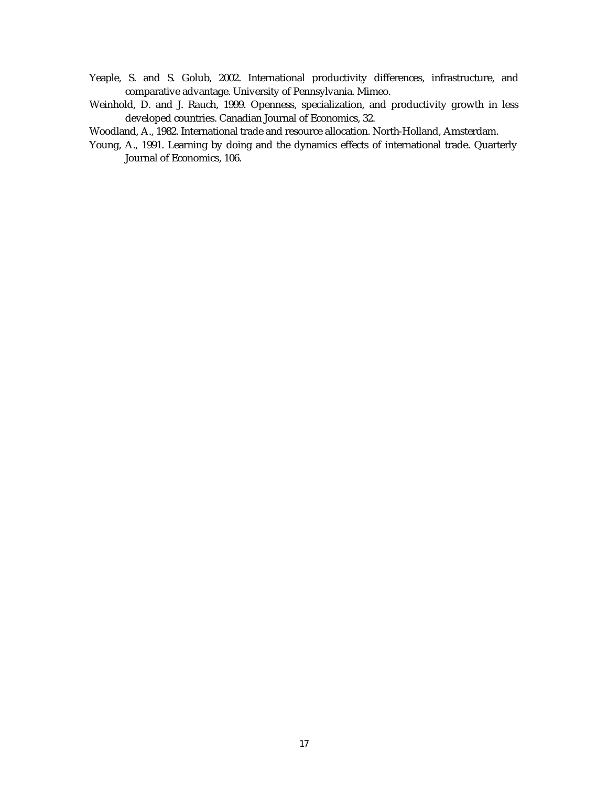- Yeaple, S. and S. Golub, 2002. International productivity differences, infrastructure, and comparative advantage. University of Pennsylvania. Mimeo.
- Weinhold, D. and J. Rauch, 1999. Openness, specialization, and productivity growth in less developed countries. Canadian Journal of Economics, 32.
- Woodland, A., 1982. International trade and resource allocation. North-Holland, Amsterdam.
- Young, A., 1991. Learning by doing and the dynamics effects of international trade. Quarterly Journal of Economics, 106.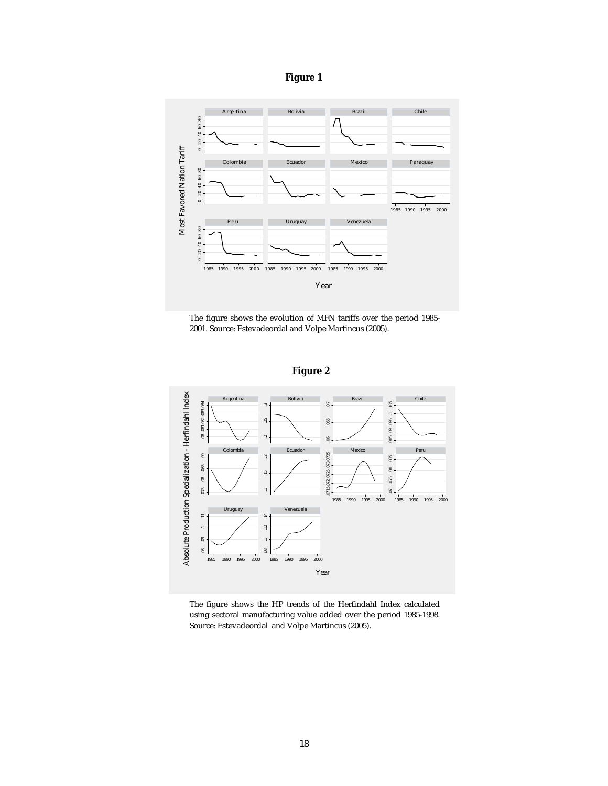



The figure shows the evolution of MFN tariffs over the period 1985- 2001. Source: Estevadeordal and Volpe Martincus (2005).

**Figure 2**



The figure shows the HP trends of the Herfindahl Index calculated using sectoral manufacturing value added over the period 1985-1998. Source: Estevadeordal and Volpe Martincus (2005).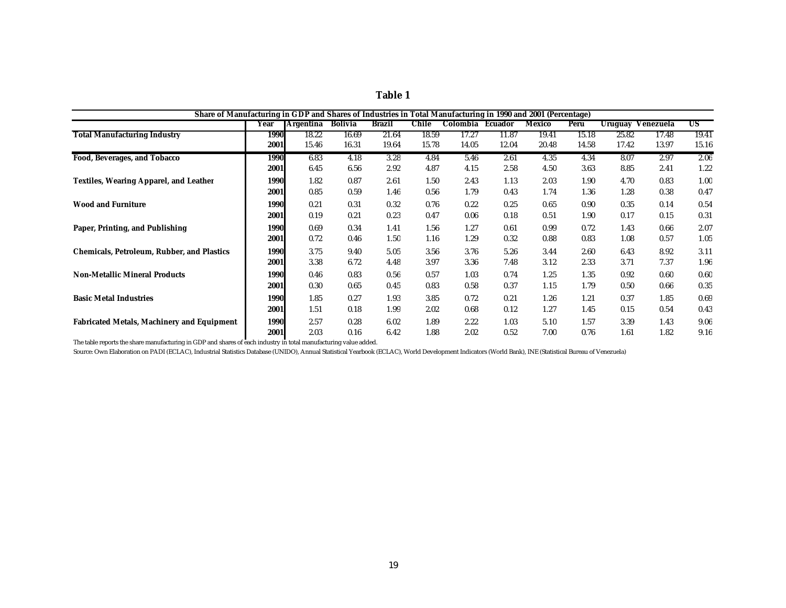| n<br>Ш<br>п |  |
|-------------|--|
|             |  |

| Share of Manufacturing in GDP and Shares of Industries in Total Manufacturing in 1990 and 2001 (Percentage) |             |                  |                |               |       |                  |       |        |       |         |           |       |
|-------------------------------------------------------------------------------------------------------------|-------------|------------------|----------------|---------------|-------|------------------|-------|--------|-------|---------|-----------|-------|
|                                                                                                             | Year        | <b>Argentina</b> | <b>Bolivia</b> | <b>Brazil</b> | Chile | Colombia Ecuador |       | Mexico | Peru  | Uruguay | Venezuela | US    |
| <b>Total Manufacturing Industry</b>                                                                         | <b>1990</b> | 18.22            | 16.69          | 21.64         | 18.59 | 17.27            | 11.87 | 19.41  | 15.18 | 25.82   | 17.48     | 19.41 |
|                                                                                                             | 2001        | 15.46            | 16.31          | 19.64         | 15.78 | 14.05            | 12.04 | 20.48  | 14.58 | 17.42   | 13.97     | 15.16 |
| <b>Food, Beverages, and Tobacco</b>                                                                         | 1990        | 6.83             | 4.18           | 3.28          | 4.84  | 5.46             | 2.61  | 4.35   | 4.34  | 8.07    | 2.97      | 2.06  |
|                                                                                                             | 2001        | 6.45             | 6.56           | 2.92          | 4.87  | 4.15             | 2.58  | 4.50   | 3.63  | 8.85    | 2.41      | 1.22  |
| <b>Textiles, Wearing Apparel, and Leather</b>                                                               | 1990        | 1.82             | 0.87           | 2.61          | 1.50  | 2.43             | 1.13  | 2.03   | 1.90  | 4.70    | 0.83      | 1.00  |
|                                                                                                             | 2001        | 0.85             | 0.59           | 1.46          | 0.56  | 1.79             | 0.43  | 1.74   | 1.36  | 1.28    | 0.38      | 0.47  |
| <b>Wood and Furniture</b>                                                                                   | 1990        | 0.21             | 0.31           | 0.32          | 0.76  | 0.22             | 0.25  | 0.65   | 0.90  | 0.35    | 0.14      | 0.54  |
|                                                                                                             | 2001        | 0.19             | 0.21           | 0.23          | 0.47  | 0.06             | 0.18  | 0.51   | 1.90  | 0.17    | 0.15      | 0.31  |
| Paper, Printing, and Publishing                                                                             | 1990        | 0.69             | 0.34           | 1.41          | 1.56  | 1.27             | 0.61  | 0.99   | 0.72  | 1.43    | 0.66      | 2.07  |
|                                                                                                             | 2001        | 0.72             | 0.46           | 1.50          | 1.16  | 1.29             | 0.32  | 0.88   | 0.83  | 1.08    | 0.57      | 1.05  |
| <b>Chemicals, Petroleum, Rubber, and Plastics</b>                                                           | 1990        | 3.75             | 9.40           | 5.05          | 3.56  | 3.76             | 5.26  | 3.44   | 2.60  | 6.43    | 8.92      | 3.11  |
|                                                                                                             | 2001        | 3.38             | 6.72           | 4.48          | 3.97  | 3.36             | 7.48  | 3.12   | 2.33  | 3.71    | 7.37      | 1.96  |
| <b>Non-Metallic Mineral Products</b>                                                                        | 1990        | 0.46             | 0.83           | 0.56          | 0.57  | 1.03             | 0.74  | 1.25   | 1.35  | 0.92    | 0.60      | 0.60  |
|                                                                                                             | 2001        | 0.30             | 0.65           | 0.45          | 0.83  | 0.58             | 0.37  | 1.15   | 1.79  | 0.50    | 0.66      | 0.35  |
| <b>Basic Metal Industries</b>                                                                               | 1990        | 1.85             | 0.27           | 1.93          | 3.85  | 0.72             | 0.21  | 1.26   | 1.21  | 0.37    | 1.85      | 0.69  |
|                                                                                                             | 2001        | 1.51             | 0.18           | 1.99          | 2.02  | 0.68             | 0.12  | 1.27   | 1.45  | 0.15    | 0.54      | 0.43  |
| <b>Fabricated Metals, Machinery and Equipment</b>                                                           | 1990        | 2.57             | 0.28           | 6.02          | 1.89  | 2.22             | 1.03  | 5.10   | 1.57  | 3.39    | 1.43      | 9.06  |
|                                                                                                             | 2001        | 2.03             | 0.16           | 6.42          | 1.88  | 2.02             | 0.52  | 7.00   | 0.76  | 1.61    | 1.82      | 9.16  |

The table reports the share manufacturing in GDP and shares of each industry in total manufacturing value added.

Source: Own Elaboration on PADI (ECLAC), Industrial Statistics Database (UNIDO), Annual Statistical Yearbook (ECLAC), World Development Indicators (World Bank), INE (Statistical Bureau of Venezuela)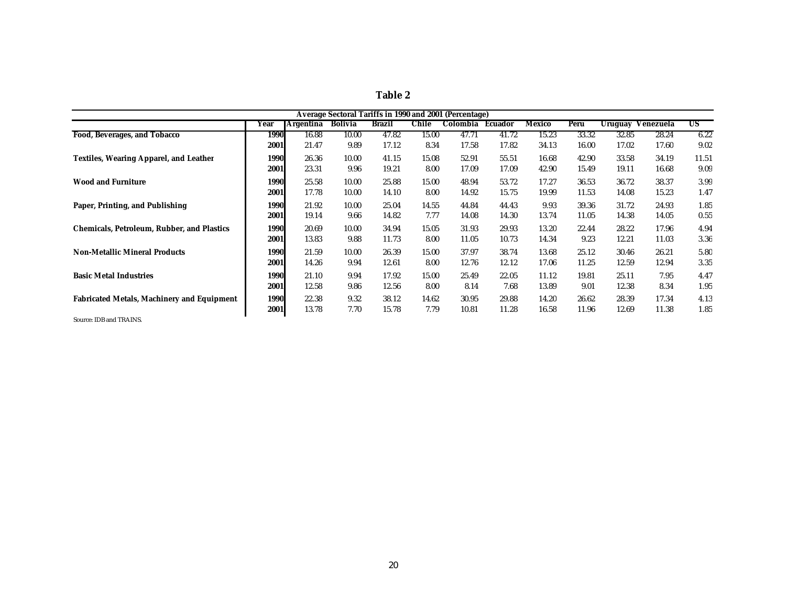| ı<br>ı<br>п<br>n<br>L<br>п. |  |
|-----------------------------|--|
|-----------------------------|--|

|                                                   |             |           |                |        |       | Average Sectoral Tariffs in 1990 and 2001 (Percentage) |         |               |       |         |           |       |
|---------------------------------------------------|-------------|-----------|----------------|--------|-------|--------------------------------------------------------|---------|---------------|-------|---------|-----------|-------|
|                                                   | Year        | Argentina | <b>Bolivia</b> | Brazil | Chile | Colombia                                               | Ecuador | <b>Mexico</b> | Peru  | Uruguay | Venezuela | US    |
| <b>Food, Beverages, and Tobacco</b>               | <b>1990</b> | 16.88     | 10.00          | 47.82  | 15.00 | 47.71                                                  | 41.72   | 15.23         | 33.32 | 32.85   | 28.24     | 6.22  |
|                                                   | 2001        | 21.47     | 9.89           | 17.12  | 8.34  | 17.58                                                  | 17.82   | 34.13         | 16.00 | 17.02   | 17.60     | 9.02  |
| <b>Textiles, Wearing Apparel, and Leather</b>     | 1990        | 26.36     | 10.00          | 41.15  | 15.08 | 52.91                                                  | 55.51   | 16.68         | 42.90 | 33.58   | 34.19     | 11.51 |
|                                                   | 2001        | 23.31     | 9.96           | 19.21  | 8.00  | 17.09                                                  | 17.09   | 42.90         | 15.49 | 19.11   | 16.68     | 9.09  |
| <b>Wood and Furniture</b>                         | 1990        | 25.58     | 10.00          | 25.88  | 15.00 | 48.94                                                  | 53.72   | 17.27         | 36.53 | 36.72   | 38.37     | 3.99  |
|                                                   | 2001        | 17.78     | 10.00          | 14.10  | 8.00  | 14.92                                                  | 15.75   | 19.99         | 11.53 | 14.08   | 15.23     | 1.47  |
| Paper, Printing, and Publishing                   | 1990        | 21.92     | 10.00          | 25.04  | 14.55 | 44.84                                                  | 44.43   | 9.93          | 39.36 | 31.72   | 24.93     | 1.85  |
|                                                   | 2001        | 19.14     | 9.66           | 14.82  | 7.77  | 14.08                                                  | 14.30   | 13.74         | 11.05 | 14.38   | 14.05     | 0.55  |
| <b>Chemicals, Petroleum, Rubber, and Plastics</b> | 1990        | 20.69     | 10.00          | 34.94  | 15.05 | 31.93                                                  | 29.93   | 13.20         | 22.44 | 28.22   | 17.96     | 4.94  |
|                                                   | 2001        | 13.83     | 9.88           | 11.73  | 8.00  | 11.05                                                  | 10.73   | 14.34         | 9.23  | 12.21   | 11.03     | 3.36  |
| <b>Non-Metallic Mineral Products</b>              | 1990        | 21.59     | 10.00          | 26.39  | 15.00 | 37.97                                                  | 38.74   | 13.68         | 25.12 | 30.46   | 26.21     | 5.80  |
|                                                   | 2001        | 14.26     | 9.94           | 12.61  | 8.00  | 12.76                                                  | 12.12   | 17.06         | 11.25 | 12.59   | 12.94     | 3.35  |
| <b>Basic Metal Industries</b>                     | 1990        | 21.10     | 9.94           | 17.92  | 15.00 | 25.49                                                  | 22.05   | 11.12         | 19.81 | 25.11   | 7.95      | 4.47  |
|                                                   | 2001        | 12.58     | 9.86           | 12.56  | 8.00  | 8.14                                                   | 7.68    | 13.89         | 9.01  | 12.38   | 8.34      | 1.95  |
| <b>Fabricated Metals, Machinery and Equipment</b> | 1990        | 22.38     | 9.32           | 38.12  | 14.62 | 30.95                                                  | 29.88   | 14.20         | 26.62 | 28.39   | 17.34     | 4.13  |
|                                                   | 2001        | 13.78     | 7.70           | 15.78  | 7.79  | 10.81                                                  | 11.28   | 16.58         | 11.96 | 12.69   | 11.38     | 1.85  |

Source: IDB and TRAINS.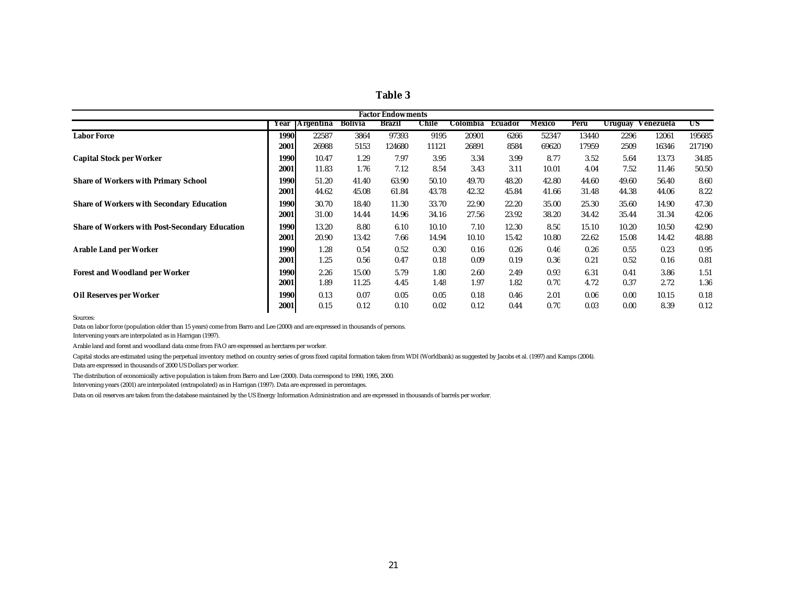| וחו<br>ł<br>п<br>Я |  |
|--------------------|--|
|--------------------|--|

|                                                       |             |                  |                | <b>Factor Endowments</b> |       |          |         |        |       |                |           |        |
|-------------------------------------------------------|-------------|------------------|----------------|--------------------------|-------|----------|---------|--------|-------|----------------|-----------|--------|
|                                                       | Year        | <b>Argentina</b> | <b>Bolivia</b> | Brazil                   | Chile | Colombia | Ecuador | Mexico | Peru  | <b>Uruguay</b> | Venezuela | US     |
| <b>Labor Force</b>                                    | <b>1990</b> | 22587            | 3864           | 97393                    | 9195  | 20901    | 6266    | 52347  | 13440 | 2296           | 12061     | 195685 |
|                                                       | 2001        | 26988            | 5153           | 124680                   | 11121 | 26891    | 8584    | 69620  | 17959 | 2509           | 16346     | 217190 |
| <b>Capital Stock per Worker</b>                       | 1990        | 10.47            | 1.29           | 7.97                     | 3.95  | 3.34     | 3.99    | 8.77   | 3.52  | 5.64           | 13.73     | 34.85  |
|                                                       | 2001        | 11.83            | 1.76           | 7.12                     | 8.54  | 3.43     | 3.11    | 10.01  | 4.04  | 7.52           | 11.46     | 50.50  |
| <b>Share of Workers with Primary School</b>           | 1990        | 51.20            | 41.40          | 63.90                    | 50.10 | 49.70    | 48.20   | 42.80  | 44.60 | 49.60          | 56.40     | 8.60   |
|                                                       | 2001        | 44.62            | 45.08          | 61.84                    | 43.78 | 42.32    | 45.84   | 41.66  | 31.48 | 44.38          | 44.06     | 8.22   |
| <b>Share of Workers with Secondary Education</b>      | 1990        | 30.70            | 18.40          | 11.30                    | 33.70 | 22.90    | 22.20   | 35.00  | 25.30 | 35.60          | 14.90     | 47.30  |
|                                                       | 2001        | 31.00            | 14.44          | 14.96                    | 34.16 | 27.56    | 23.92   | 38.20  | 34.42 | 35.44          | 31.34     | 42.06  |
| <b>Share of Workers with Post-Secondary Education</b> | 1990        | 13.20            | 8.80           | 6.10                     | 10.10 | 7.10     | 12.30   | 8.50   | 15.10 | 10.20          | 10.50     | 42.90  |
|                                                       | 2001        | 20.90            | 13.42          | 7.66                     | 14.94 | 10.10    | 15.42   | 10.80  | 22.62 | 15.08          | 14.42     | 48.88  |
| Arable Land per Worker                                | 1990        | 1.28             | 0.54           | 0.52                     | 0.30  | 0.16     | 0.26    | 0.46   | 0.26  | 0.55           | 0.23      | 0.95   |
|                                                       | 2001        | 1.25             | 0.56           | 0.47                     | 0.18  | 0.09     | 0.19    | 0.36   | 0.21  | 0.52           | 0.16      | 0.81   |
| <b>Forest and Woodland per Worker</b>                 | 1990        | 2.26             | 15.00          | 5.79                     | 1.80  | 2.60     | 2.49    | 0.93   | 6.31  | 0.41           | 3.86      | 1.51   |
|                                                       | 2001        | 1.89             | 11.25          | 4.45                     | 1.48  | 1.97     | 1.82    | 0.70   | 4.72  | 0.37           | 2.72      | 1.36   |
| Oil Reserves per Worker                               | 1990        | 0.13             | 0.07           | 0.05                     | 0.05  | 0.18     | 0.46    | 2.01   | 0.06  | 0.00           | 10.15     | 0.18   |
|                                                       | 2001        | 0.15             | 0.12           | 0.10                     | 0.02  | 0.12     | 0.44    | 0.70   | 0.03  | 0.00           | 8.39      | 0.12   |

Sources:

Data on labor force (population older than 15 years) come from Barro and Lee (2000) and are expressed in thousands of persons.

Intervening years are interpolated as in Harrigan (1997).

Arable land and forest and woodland data come from FAO are expressed as herctares per worker.

Capital stocks are estimated using the perpetual inventory method on country series of gross fixed capital formation taken from WDI (Worldbank) as suggested by Jacobs et al. (1997) and Kamps (2004). Data are expressed in thousands of 2000 US Dollars per worker.

The distribution of economically active population is taken from Barro and Lee (2000). Data correspond to 1990, 1995, 2000.

Intervening years (2001) are interpolated (extrapolated) as in Harrigan (1997). Data are expressed in percentages.

Data on oil reserves are taken from the database maintained by the US Energy Information Administration and are expressed in thousands of barrels per worker.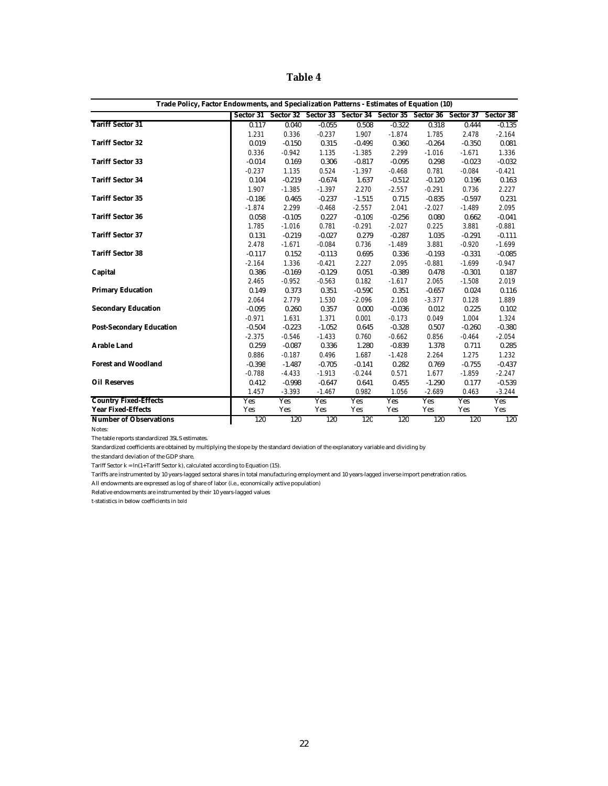**Table 4**

| Trade Policy, Factor Endowments, and Specialization Patterns - Estimates of Equation (10) |             |          |            |                                                                                 |          |          |          |            |
|-------------------------------------------------------------------------------------------|-------------|----------|------------|---------------------------------------------------------------------------------|----------|----------|----------|------------|
|                                                                                           |             |          |            | Sector 31 Sector 32 Sector 33 Sector 34 Sector 35 Sector 36 Sector 37 Sector 38 |          |          |          |            |
| <b>Tariff Sector 31</b>                                                                   | 0.117       | 0.040    | $-0.055$   | 0.508                                                                           | $-0.322$ | 0.318    | 0.444    | $-0.135$   |
|                                                                                           | 1.231       | 0.336    | $-0.237$   | 1.907                                                                           | $-1.874$ | 1.785    | 2.478    | $-2.164$   |
| <b>Tariff Sector 32</b>                                                                   | 0.019       | $-0.150$ | 0.315      | $-0.499$                                                                        | 0.360    | $-0.264$ | $-0.350$ | 0.081      |
|                                                                                           | 0.336       | $-0.942$ | 1.135      | $-1.385$                                                                        | 2.299    | $-1.016$ | $-1.671$ | 1.336      |
| <b>Tariff Sector 33</b>                                                                   | $-0.014$    | 0.169    | 0.306      | $-0.817$                                                                        | $-0.095$ | 0.298    | $-0.023$ | $-0.032$   |
|                                                                                           | $-0.237$    | 1.135    | 0.524      | $-1.397$                                                                        | $-0.468$ | 0.781    | $-0.084$ | $-0.421$   |
| <b>Tariff Sector 34</b>                                                                   | 0.104       | $-0.219$ | $-0.674$   | 1.637                                                                           | $-0.512$ | $-0.120$ | 0.196    | 0.163      |
|                                                                                           | 1.907       | $-1.385$ | $-1.397$   | 2.270                                                                           | $-2.557$ | $-0.291$ | 0.736    | 2.227      |
| <b>Tariff Sector 35</b>                                                                   | $-0.186$    | 0.465    | $-0.237$   | $-1.515$                                                                        | 0.715    | $-0.835$ | $-0.597$ | 0.231      |
|                                                                                           | $-1.874$    | 2.299    | $-0.468$   | $-2.557$                                                                        | 2.041    | $-2.027$ | $-1.489$ | 2.095      |
| <b>Tariff Sector 36</b>                                                                   | 0.058       | $-0.105$ | 0.227      | $-0.109$                                                                        | $-0.256$ | 0.080    | 0.662    | $-0.041$   |
|                                                                                           | 1.785       | $-1.016$ | 0.781      | $-0.291$                                                                        | $-2.027$ | 0.225    | 3.881    | $-0.881$   |
| <b>Tariff Sector 37</b>                                                                   | 0.131       | $-0.219$ | $-0.027$   | 0.279                                                                           | $-0.287$ | 1.035    | $-0.291$ | $-0.111$   |
|                                                                                           | 2.478       | $-1.671$ | $-0.084$   | 0.736                                                                           | $-1.489$ | 3.881    | $-0.920$ | $-1.699$   |
| <b>Tariff Sector 38</b>                                                                   | $-0.117$    | 0.152    | $-0.113$   | 0.695                                                                           | 0.336    | $-0.193$ | $-0.331$ | $-0.085$   |
|                                                                                           | $-2.164$    | 1.336    | $-0.421$   | 2.227                                                                           | 2.095    | $-0.881$ | $-1.699$ | $-0.947$   |
| Capital                                                                                   | 0.386       | $-0.169$ | $-0.129$   | 0.051                                                                           | $-0.389$ | 0.478    | $-0.301$ | 0.187      |
|                                                                                           | 2.465       | $-0.952$ | $-0.563$   | 0.182                                                                           | $-1.617$ | 2.065    | $-1.508$ | 2.019      |
| <b>Primary Education</b>                                                                  | 0.149       | 0.373    | 0.351      | $-0.590$                                                                        | 0.351    | $-0.657$ | 0.024    | 0.116      |
|                                                                                           | $\it 2.064$ | 2.779    | 1.530      | $-2.096$                                                                        | 2.108    | $-3.377$ | 0.128    | 1.889      |
| <b>Secondary Education</b>                                                                | $-0.095$    | 0.260    | 0.357      | 0.000                                                                           | $-0.036$ | 0.012    | 0.225    | 0.102      |
|                                                                                           | $-0.971$    | 1.631    | 1.371      | 0.001                                                                           | $-0.173$ | 0.049    | 1.004    | 1.324      |
| <b>Post-Secondary Education</b>                                                           | $-0.504$    | $-0.223$ | $-1.052$   | 0.645                                                                           | $-0.328$ | 0.507    | $-0.260$ | $-0.380$   |
|                                                                                           | $-2.375$    | $-0.546$ | $-1.433$   | 0.760                                                                           | $-0.662$ | 0.856    | $-0.464$ | $-2.054$   |
| <b>Arable Land</b>                                                                        | 0.259       | $-0.087$ | 0.336      | 1.280                                                                           | $-0.839$ | 1.378    | 0.711    | 0.285      |
|                                                                                           | 0.886       | $-0.187$ | 0.496      | 1.687                                                                           | $-1.428$ | 2.264    | 1.275    | 1.232      |
| <b>Forest and Woodland</b>                                                                | $-0.398$    | $-1.487$ | $-0.705$   | $-0.141$                                                                        | 0.282    | 0.769    | $-0.755$ | $-0.437$   |
|                                                                                           | $-0.788$    | $-4.433$ | $-1.913$   | $-0.244$                                                                        | 0.571    | 1.677    | $-1.859$ | $-2.247$   |
| <b>Oil Reserves</b>                                                                       | 0.412       | $-0.998$ | $-0.647$   | 0.641                                                                           | 0.455    | $-1.290$ | 0.177    | $-0.539$   |
|                                                                                           | 1.457       | $-3.393$ | $-1.467$   | 0.982                                                                           | 1.056    | $-2.689$ | 0.463    | $-3.244$   |
| <b>Country Fixed-Effects</b>                                                              | Yes         | Yes      | <b>Yes</b> | Yes                                                                             | Yes      | Yes      | Yes      | <b>Yes</b> |
| <b>Year Fixed-Effects</b>                                                                 | Yes         | Yes      | Yes        | Yes                                                                             | Yes      | Yes      | Yes      | Yes        |
| <b>Number of Observations</b>                                                             | 120         | 120      | 120        | 120                                                                             | 120      | 120      | 120      | 120        |

Notes:

The table reports standardized 3SLS estimates.

Standardized coefficients are obtained by multiplying the slope by the standard deviation of the explanatory variable and dividing by

the standard deviation of the GDP share.

Tariff Sector  $k = ln(1+Tariff$  Sector k), calculated according to Equation (15).

Tariffs are instrumented by 10 years-lagged sectoral shares in total manufacturing employment and 10 years-lagged inverse import penetration ratios.

All endowments are expressed as log of share of labor (i.e., economically active population)

Relative endowments are instrumented by their 10 years-lagged values

t-statistics in below coefficients in *bold*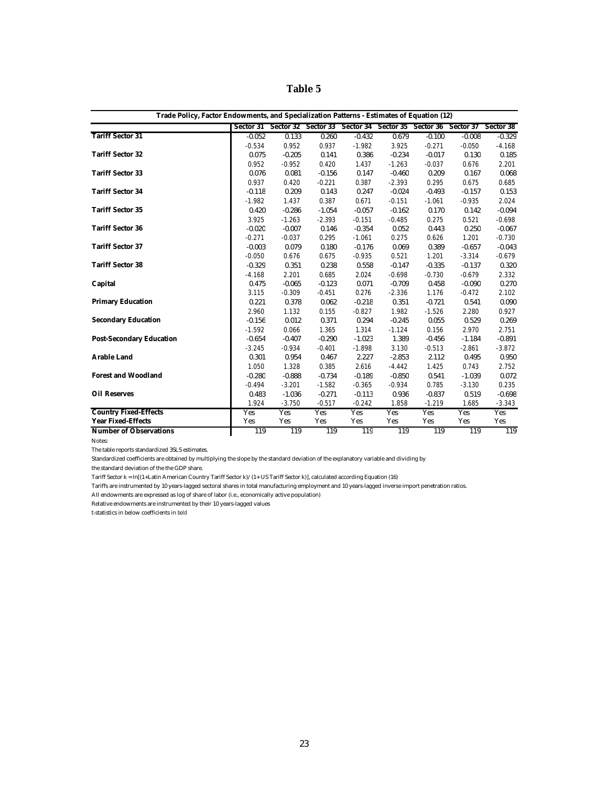**Table 5**

| Trade Policy, Factor Endowments, and Specialization Patterns - Estimates of Equation (12) |          |          |          |                                                                                 |          |          |          |            |
|-------------------------------------------------------------------------------------------|----------|----------|----------|---------------------------------------------------------------------------------|----------|----------|----------|------------|
|                                                                                           |          |          |          | Sector 31 Sector 32 Sector 33 Sector 34 Sector 35 Sector 36 Sector 37 Sector 38 |          |          |          |            |
| <b>Tariff Sector 31</b>                                                                   | $-0.052$ | 0.133    | 0.260    | $-0.432$                                                                        | 0.679    | $-0.100$ | $-0.008$ | $-0.329$   |
|                                                                                           | $-0.534$ | 0.952    | 0.937    | $-1.982$                                                                        | 3.925    | $-0.271$ | $-0.050$ | $-4.168$   |
| <b>Tariff Sector 32</b>                                                                   | 0.075    | $-0.205$ | 0.141    | 0.386                                                                           | $-0.234$ | $-0.017$ | 0.130    | 0.185      |
|                                                                                           | 0.952    | $-0.952$ | 0.420    | 1.437                                                                           | $-1.263$ | $-0.037$ | 0.676    | 2.201      |
| <b>Tariff Sector 33</b>                                                                   | 0.076    | 0.081    | $-0.156$ | 0.147                                                                           | $-0.460$ | 0.209    | 0.167    | 0.068      |
|                                                                                           | 0.937    | 0.420    | $-0.221$ | 0.387                                                                           | $-2.393$ | 0.295    | 0.675    | 0.685      |
| <b>Tariff Sector 34</b>                                                                   | $-0.118$ | 0.209    | 0.143    | 0.247                                                                           | $-0.024$ | $-0.493$ | $-0.157$ | 0.153      |
|                                                                                           | $-1.982$ | 1.437    | 0.387    | 0.671                                                                           | $-0.151$ | $-1.061$ | $-0.935$ | 2.024      |
| <b>Tariff Sector 35</b>                                                                   | 0.420    | $-0.286$ | $-1.054$ | $-0.057$                                                                        | $-0.162$ | 0.170    | 0.142    | $-0.094$   |
|                                                                                           | 3.925    | $-1.263$ | $-2.393$ | $-0.151$                                                                        | $-0.485$ | 0.275    | 0.521    | $-0.698$   |
| <b>Tariff Sector 36</b>                                                                   | $-0.020$ | $-0.007$ | 0.146    | $-0.354$                                                                        | 0.052    | 0.443    | 0.250    | $-0.067$   |
|                                                                                           | $-0.271$ | $-0.037$ | 0.295    | $-1.061$                                                                        | 0.275    | 0.626    | 1.201    | $-0.730$   |
| <b>Tariff Sector 37</b>                                                                   | $-0.003$ | 0.079    | 0.180    | $-0.176$                                                                        | 0.069    | 0.389    | $-0.657$ | $-0.043$   |
|                                                                                           | $-0.050$ | 0.676    | 0.675    | $-0.935$                                                                        | 0.521    | 1.201    | $-3.314$ | $-0.679$   |
| <b>Tariff Sector 38</b>                                                                   | $-0.329$ | 0.351    | 0.238    | 0.558                                                                           | $-0.147$ | $-0.335$ | $-0.137$ | 0.320      |
|                                                                                           | $-4.168$ | 2.201    | 0.685    | 2.024                                                                           | $-0.698$ | $-0.730$ | $-0.679$ | 2.332      |
| Capital                                                                                   | 0.475    | $-0.065$ | $-0.123$ | 0.071                                                                           | $-0.709$ | 0.458    | $-0.090$ | 0.270      |
|                                                                                           | 3.115    | $-0.309$ | $-0.451$ | 0.276                                                                           | $-2.336$ | 1.176    | $-0.472$ | 2.102      |
| <b>Primary Education</b>                                                                  | 0.221    | 0.378    | 0.062    | $-0.218$                                                                        | 0.351    | $-0.721$ | 0.541    | 0.090      |
|                                                                                           | 2.960    | 1.132    | 0.155    | $-0.827$                                                                        | 1.982    | $-1.526$ | 2.280    | 0.927      |
| <b>Secondary Education</b>                                                                | $-0.156$ | 0.012    | 0.371    | 0.294                                                                           | $-0.245$ | 0.055    | 0.529    | 0.269      |
|                                                                                           | $-1.592$ | 0.066    | 1.365    | 1.314                                                                           | $-1.124$ | 0.156    | 2.970    | 2.751      |
| <b>Post-Secondary Education</b>                                                           | $-0.654$ | $-0.407$ | $-0.290$ | $-1.023$                                                                        | 1.389    | $-0.456$ | $-1.184$ | $-0.891$   |
|                                                                                           | $-3.245$ | $-0.934$ | $-0.401$ | $-1.898$                                                                        | 3.130    | $-0.513$ | $-2.861$ | $-3.872$   |
| <b>Arable Land</b>                                                                        | 0.301    | 0.954    | 0.467    | 2.227                                                                           | $-2.853$ | 2.112    | 0.495    | 0.950      |
|                                                                                           | 1.050    | 1.328    | 0.385    | 2.616                                                                           | $-4.442$ | 1.425    | 0.743    | 2.752      |
| <b>Forest and Woodland</b>                                                                | $-0.280$ | $-0.888$ | $-0.734$ | $-0.189$                                                                        | $-0.850$ | 0.541    | $-1.039$ | 0.072      |
|                                                                                           | $-0.494$ | $-3.201$ | $-1.582$ | $-0.365$                                                                        | $-0.934$ | 0.785    | $-3.130$ | 0.235      |
| <b>Oil Reserves</b>                                                                       | 0.483    | $-1.036$ | $-0.271$ | $-0.113$                                                                        | 0.936    | $-0.837$ | 0.519    | $-0.698$   |
|                                                                                           | 1.924    | $-3.750$ | $-0.517$ | $-0.242$                                                                        | 1.858    | $-1.219$ | 1.685    | $-3.343$   |
| <b>Country Fixed-Effects</b>                                                              | Yes      | Yes      | Yes      | Yes                                                                             | Yes      | Yes      | Yes      | <b>Yes</b> |
| <b>Year Fixed-Effects</b>                                                                 | Yes      | Yes      | Yes      | Yes                                                                             | Yes      | Yes      | Yes      | Yes        |
| <b>Number of Observations</b>                                                             | 119      | 119      | 119      | 119                                                                             | 119      | 119      | 119      | 119        |

Notes:

The table reports standardized 3SLS estimates.

Standardized coefficients are obtained by multiplying the slope by the standard deviation of the explanatory variable and dividing by

the standard deviation of the the GDP share.

Tariff Sector k = ln[(1+Latin American Country Tariff Sector k)/(1+ US Tariff Sector k)], calculated according Equation (16)

Tariffs are instrumented by 10 years-lagged sectoral shares in total manufacturing employment and 10 years-lagged inverse import penetration ratios.

All endowments are expressed as log of share of labor (i.e., economically active population)

Relative endowments are instrumented by their 10 years-lagged values

t-statistics in below coefficients in *bold*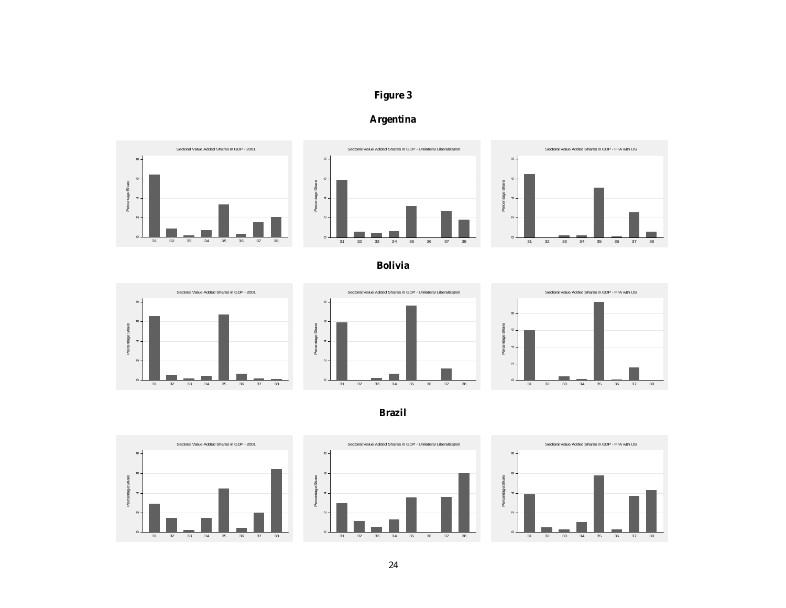# **Figure 3**





**Bolivia**





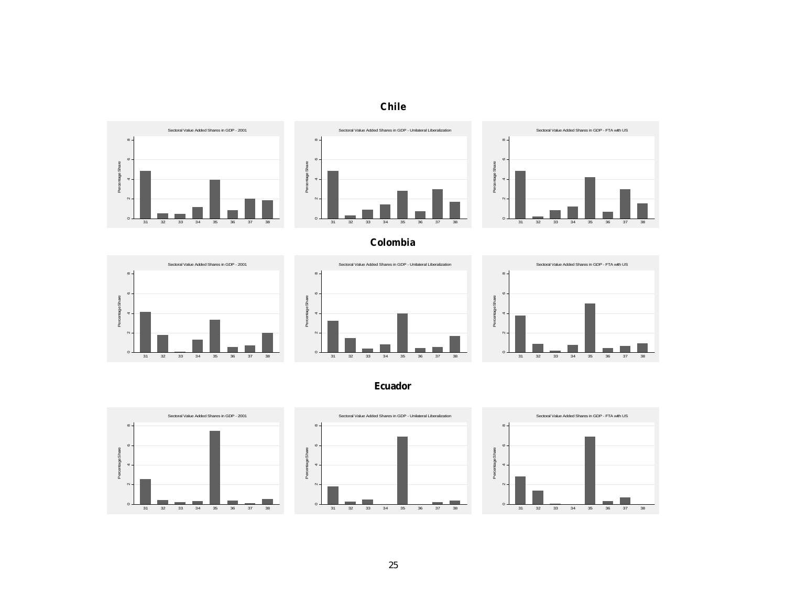



**Colombia**







**Ecuador**





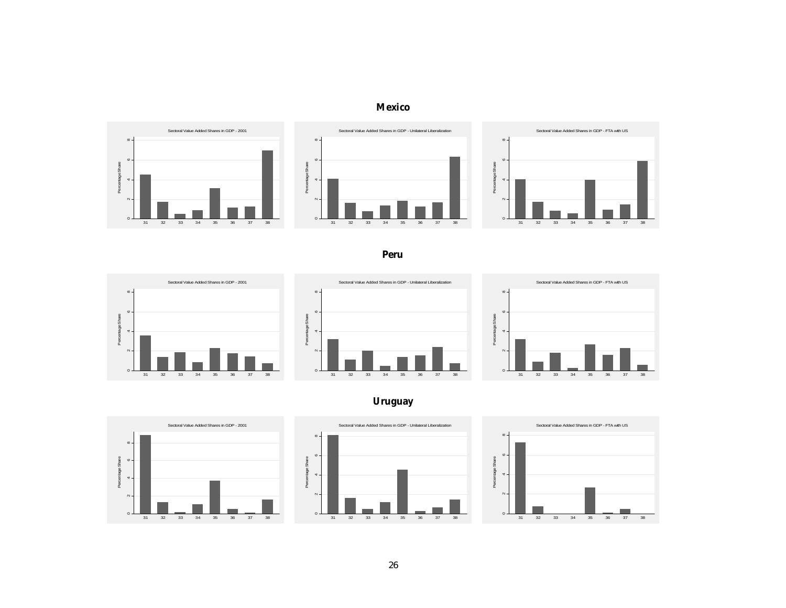## **Mexico**



**Peru**



**Uruguay**

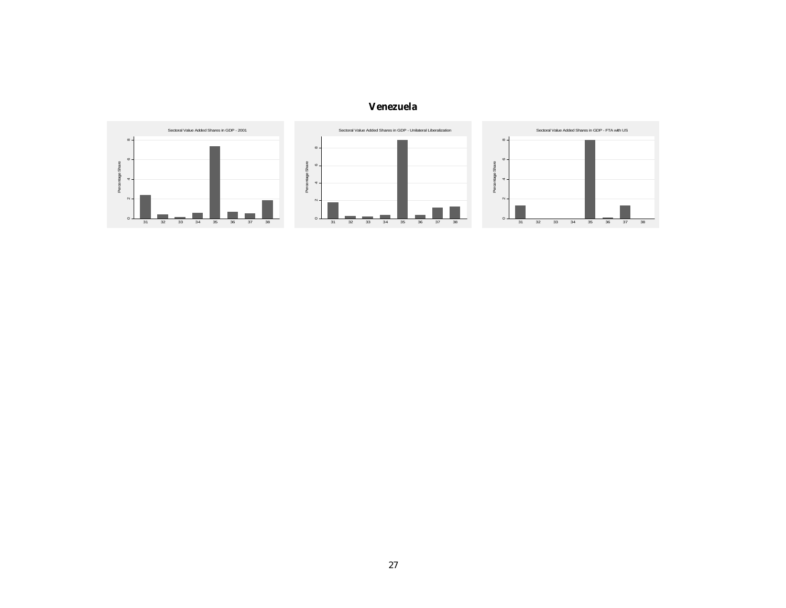## **Venezuela**